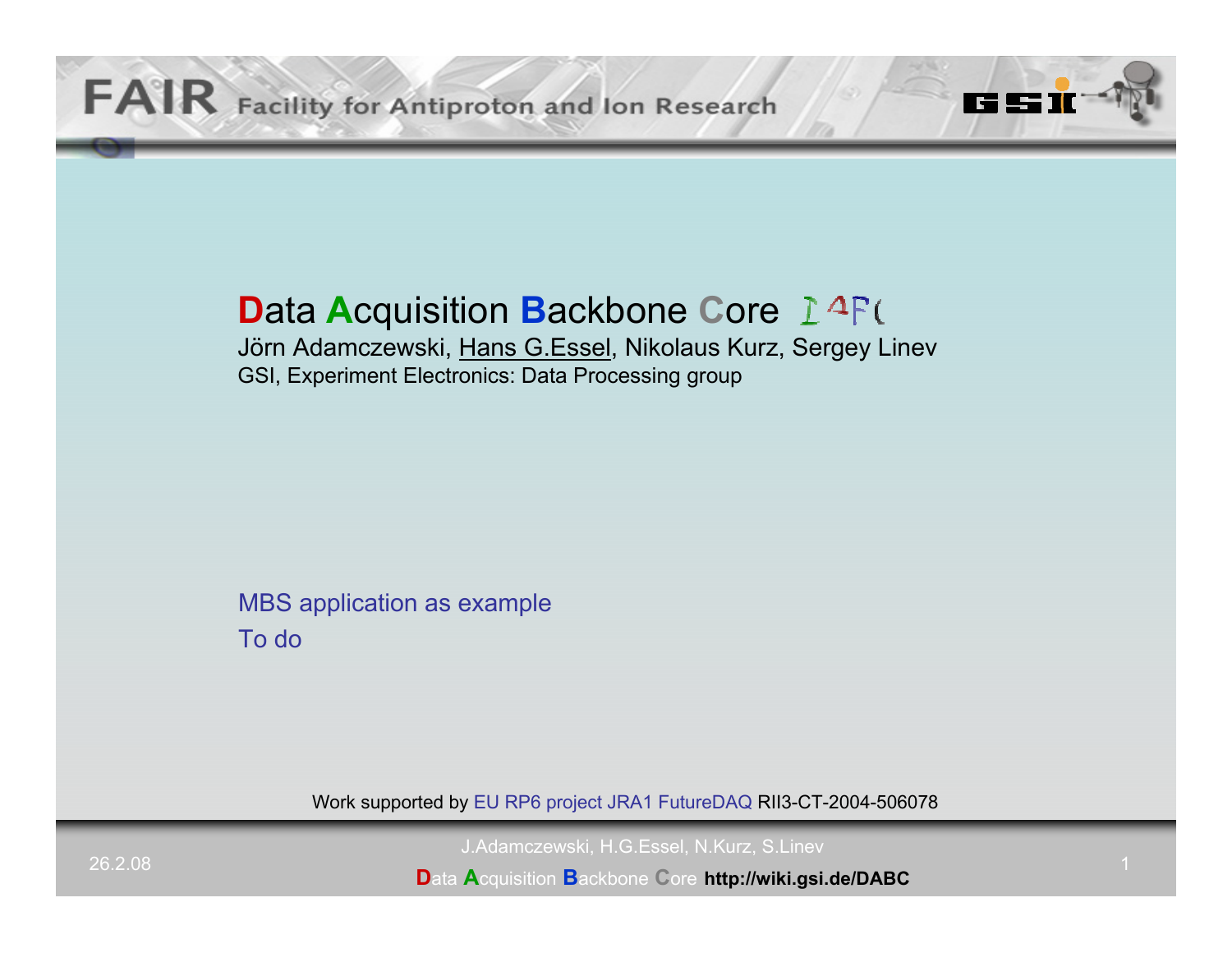# **D**ata **A**cquisition **B**ackbone **C**ore

Jörn Adamczewski, Hans G.Essel, Nikolaus Kurz, Sergey Linev GSI, Experiment Electronics: Data Processing group

MBS application as example To do

Work supported by EU RP6 project JRA1 FutureDAQ RII3-CT-2004-506078

J.Adamczewski, H.G.Essel, N.Kurz, S.Linev

**D**ata **A**cquisition **B**ackbone **C**ore **http://wiki.gsi.de/DABC**

TZ !

<u>urs</u>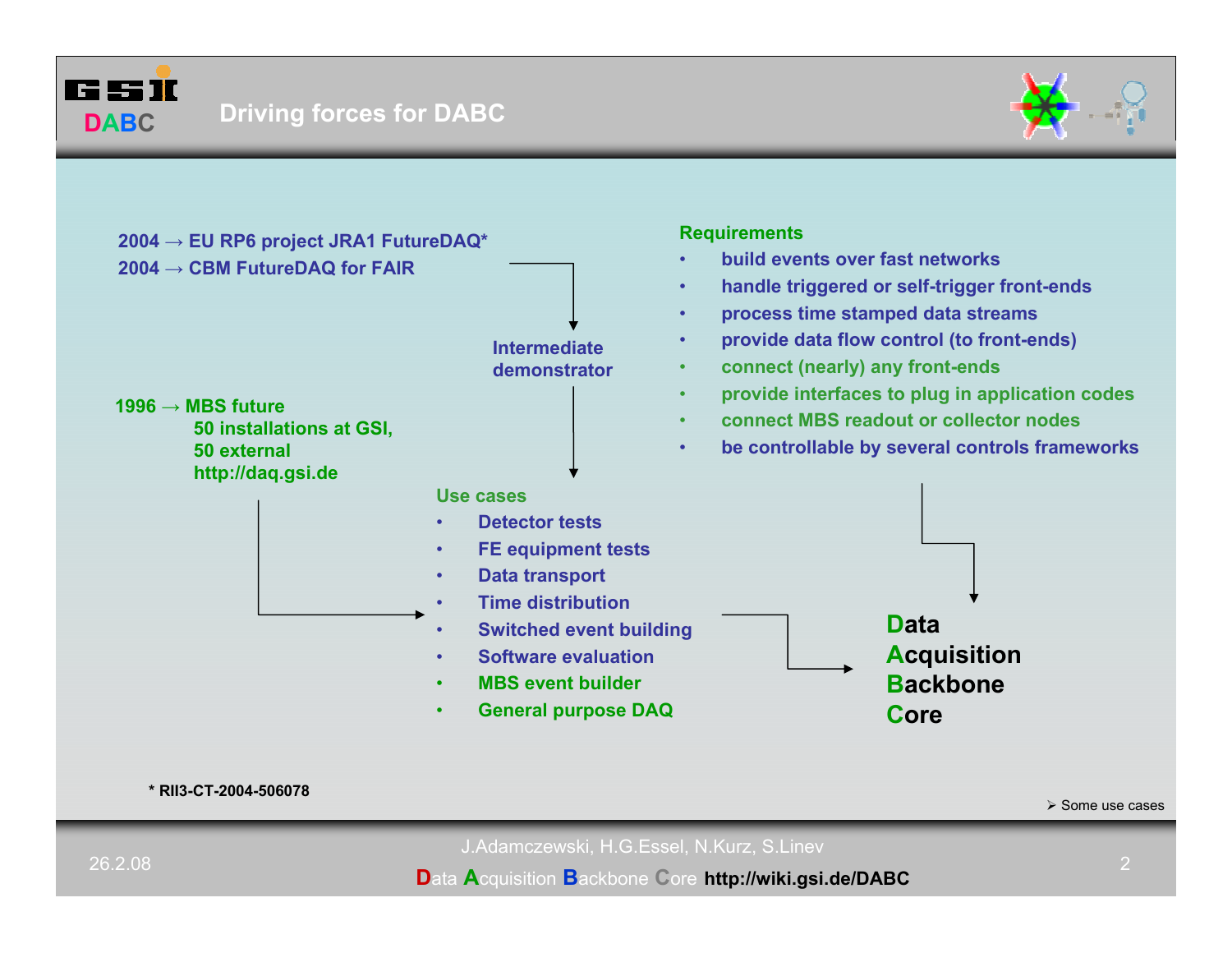





**\* RII3-CT-2004-506078**

¾ Some use cases

J.Adamczewski, H.G.Essel, N.Kurz, S.Linev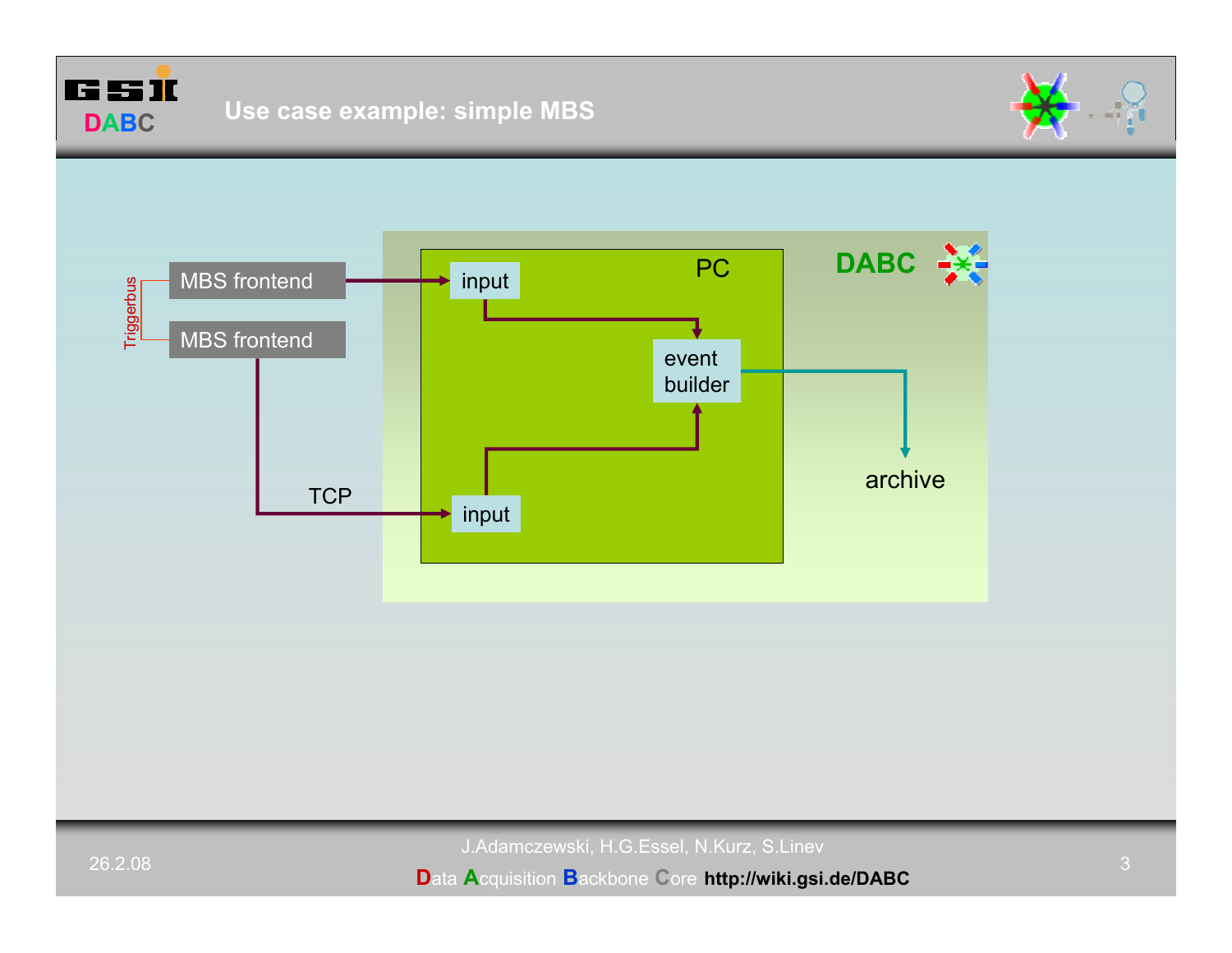

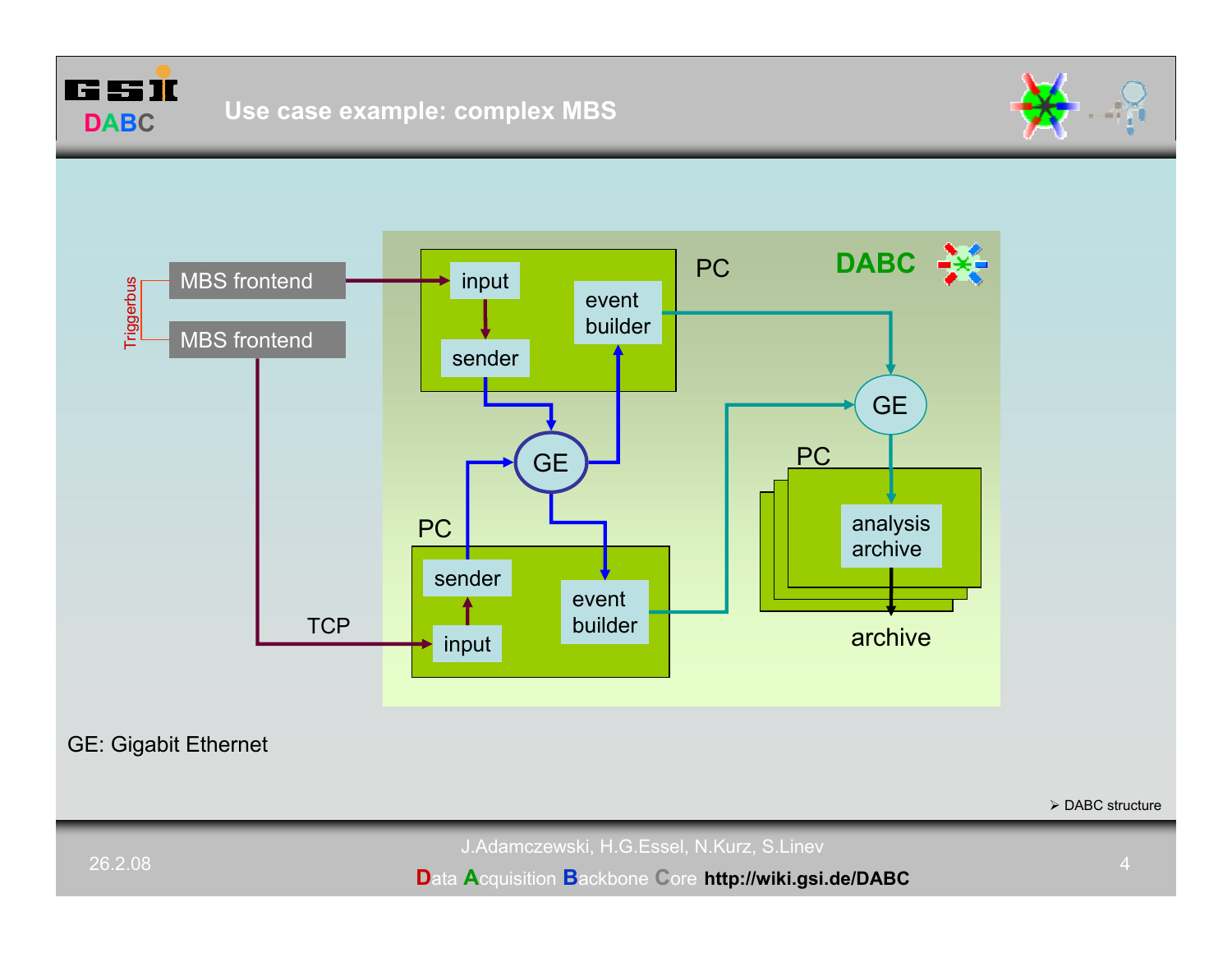



GE: Gigabit Ethernet

 $\triangleright$  DABC structure

J.Adamczewski, H.G.Essel, N.Kurz, S.Linev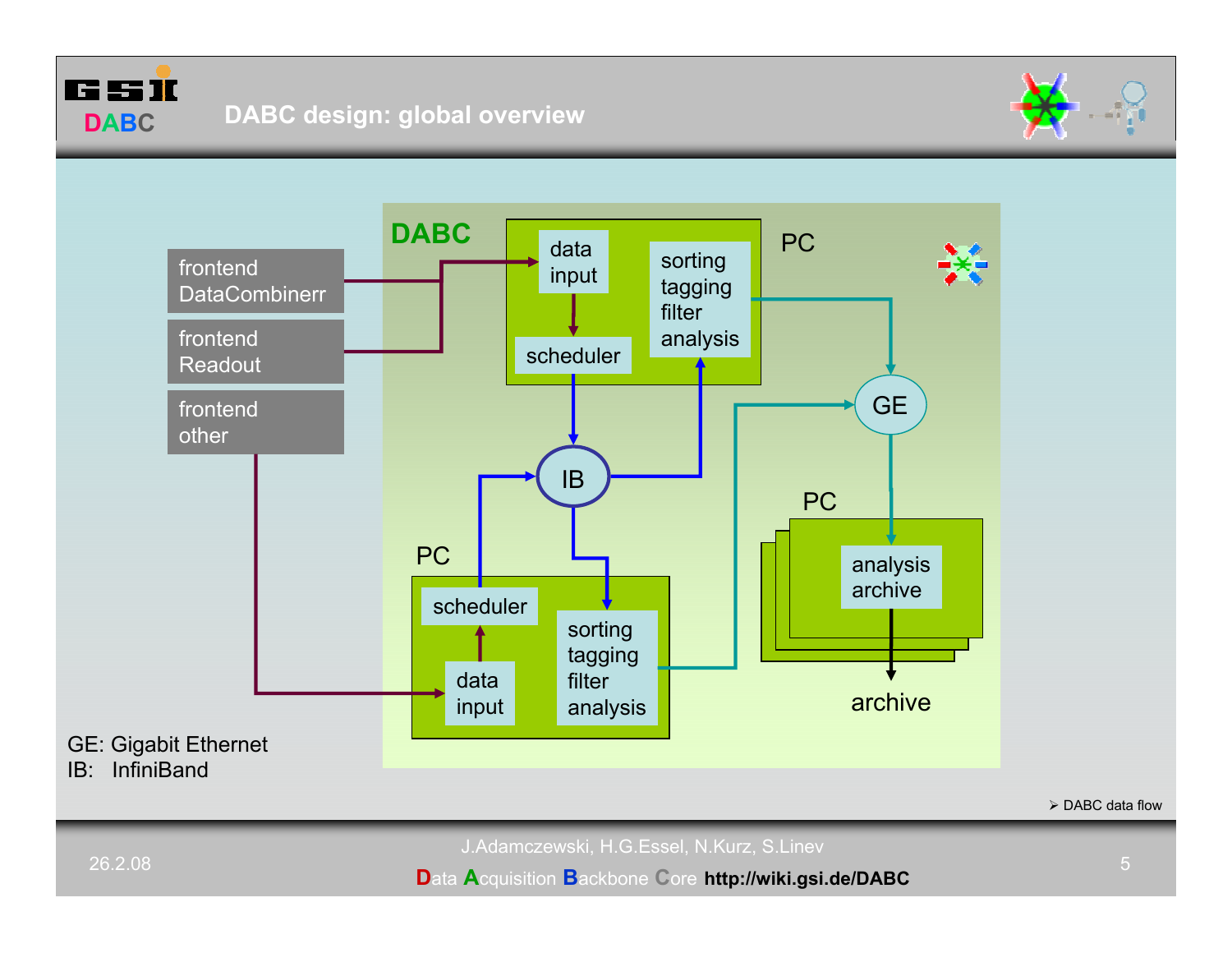





 $\triangleright$  DABC data flow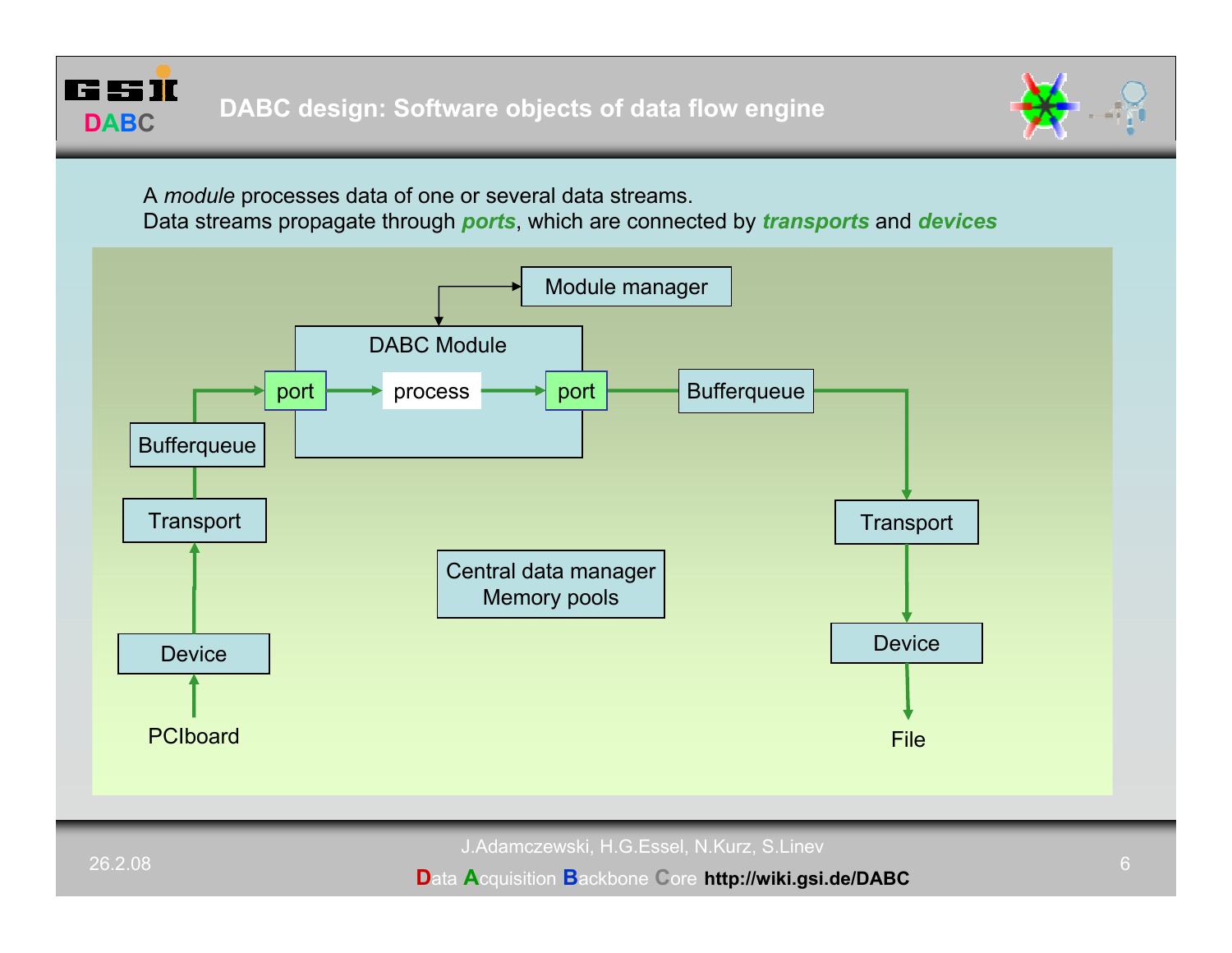



A *module* processes data of one or several data streams.

Data streams propagate through *ports*, which are connected by *transports* and *devices*



J.Adamczewski, H.G.Essel, N.Kurz, S.Linev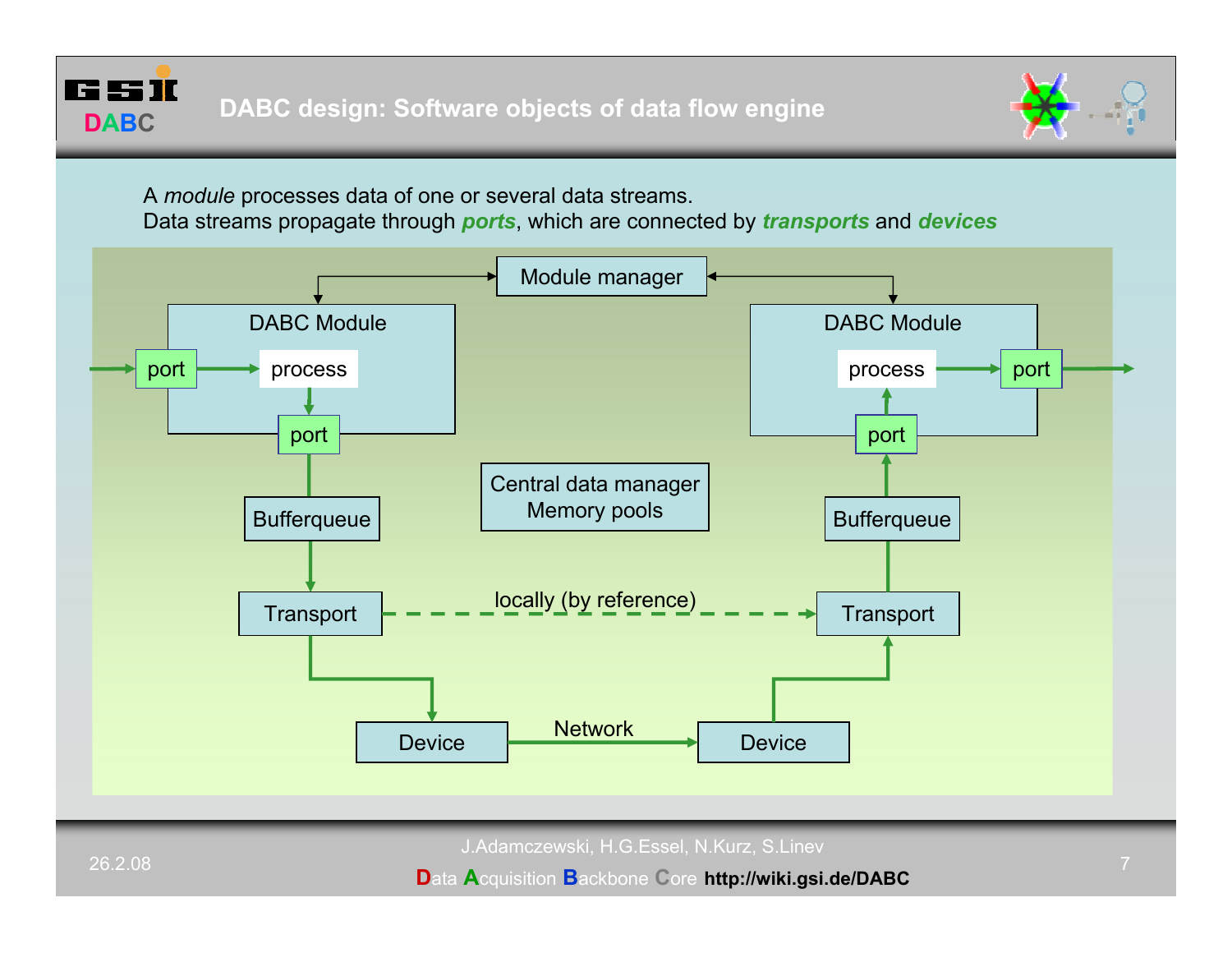



A *module* processes data of one or several data streams.

Data streams propagate through *ports*, which are connected by *transports* and *devices*



J.Adamczewski, H.G.Essel, N.Kurz, S.Linev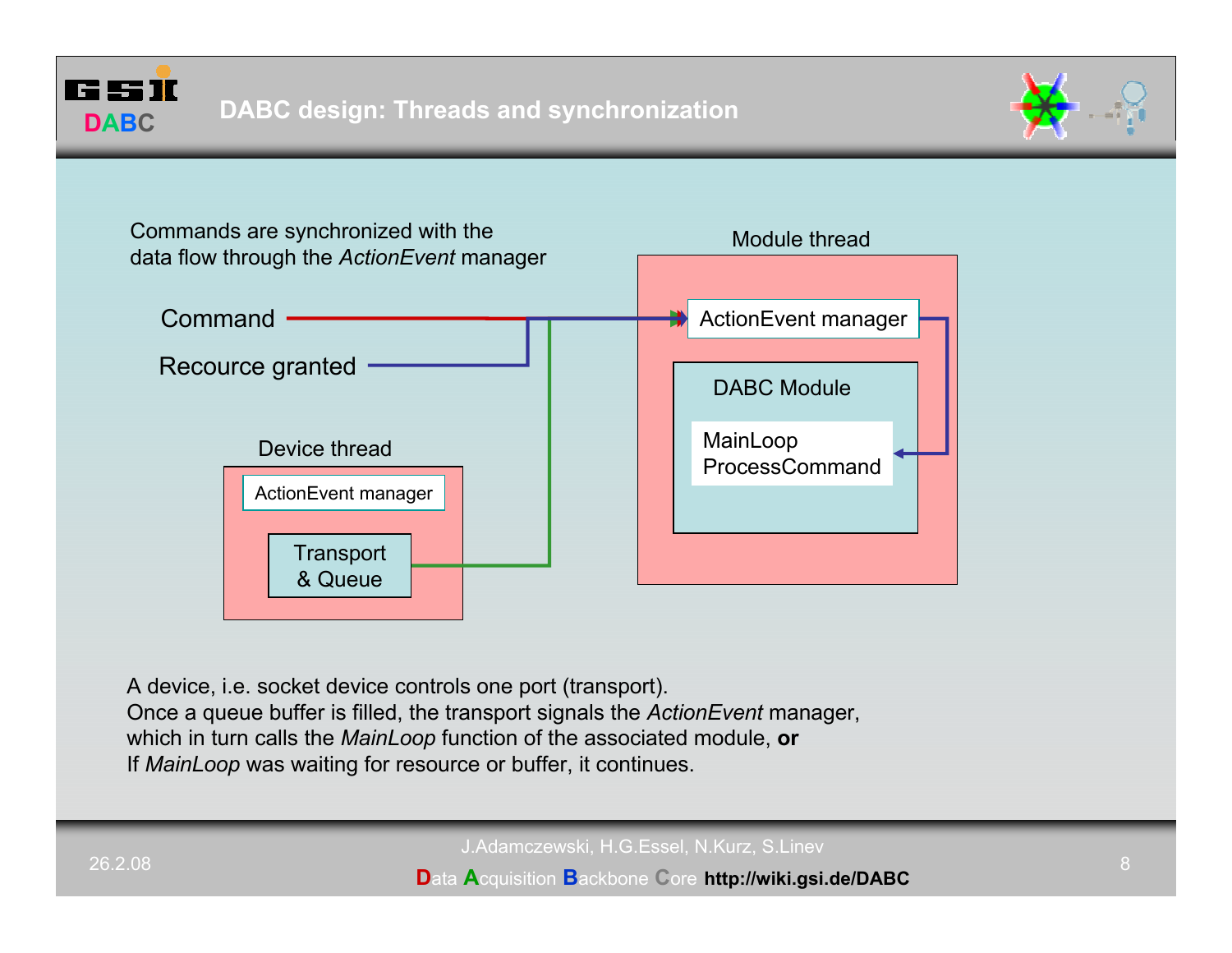





A device, i.e. socket device controls one port (transport).

Once a queue buffer is filled, the transport signals the *ActionEvent* manager,

which in turn calls the *MainLoop* function of the associated module, **or**

If *MainLoop* was waiting for resource or buffer, it continues.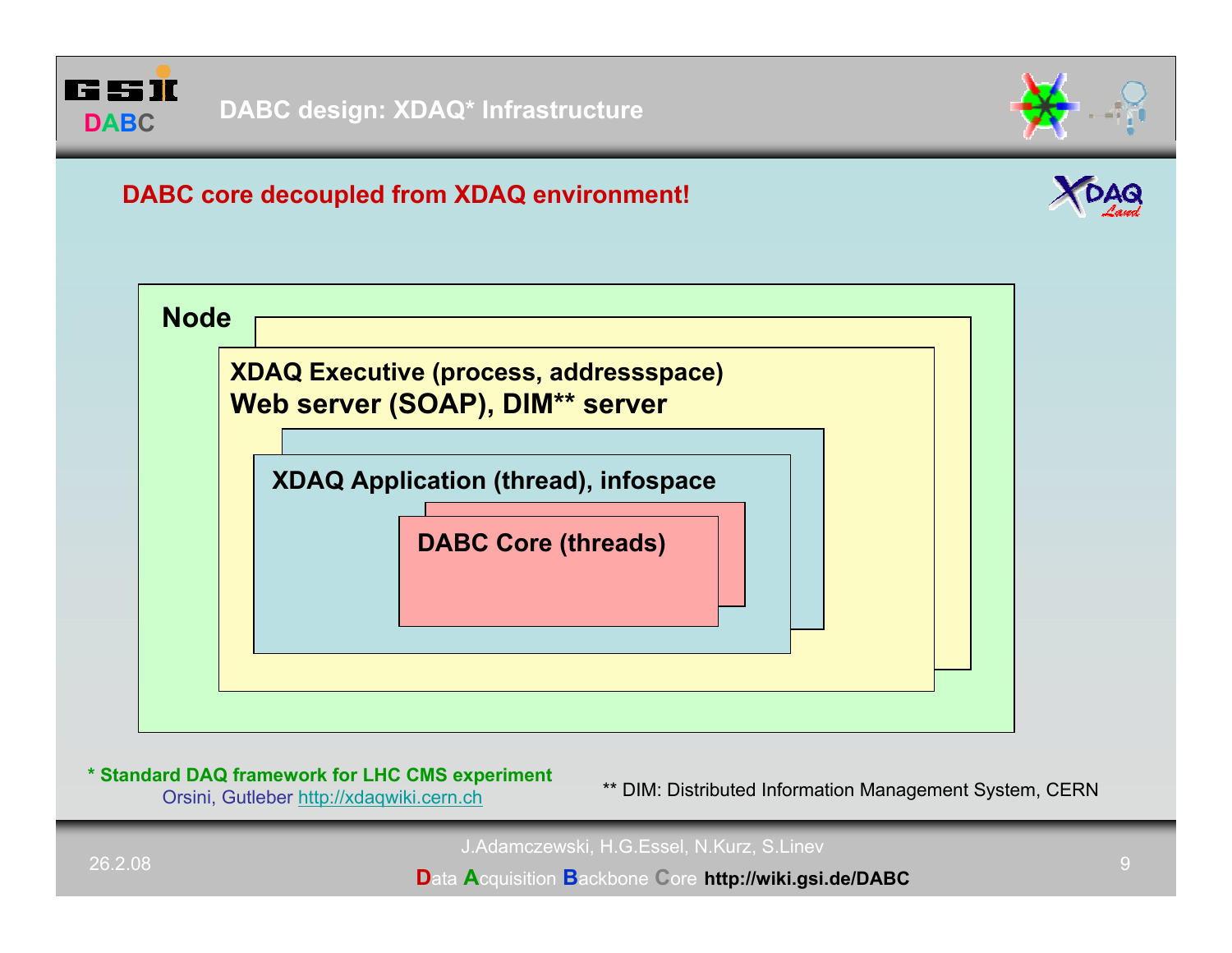



# **DABC core decoupled from XDAQ environment!**





## **\* Standard DAQ framework for LHC CMS experiment**

Orsini, Gutleber http://xdaqwiki.cern.ch \*\* DIM: Distributed Information Management System, CERN

J.Adamczewski, H.G.Essel, N.Kurz, S.Linev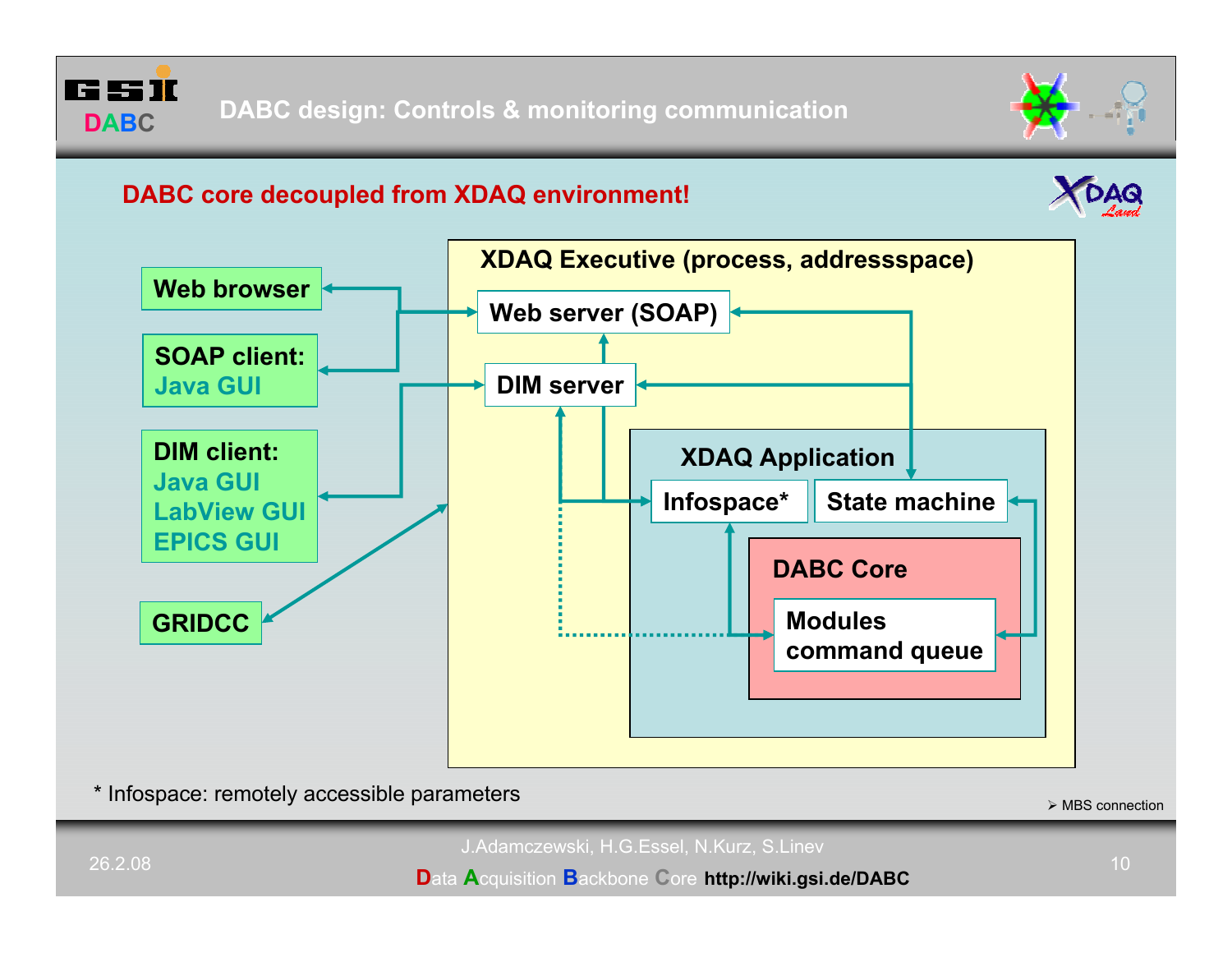



# **DABC core decoupled from XDAQ environment!**





\* Infospace: remotely accessible parameters

 $\triangleright$  MBS connection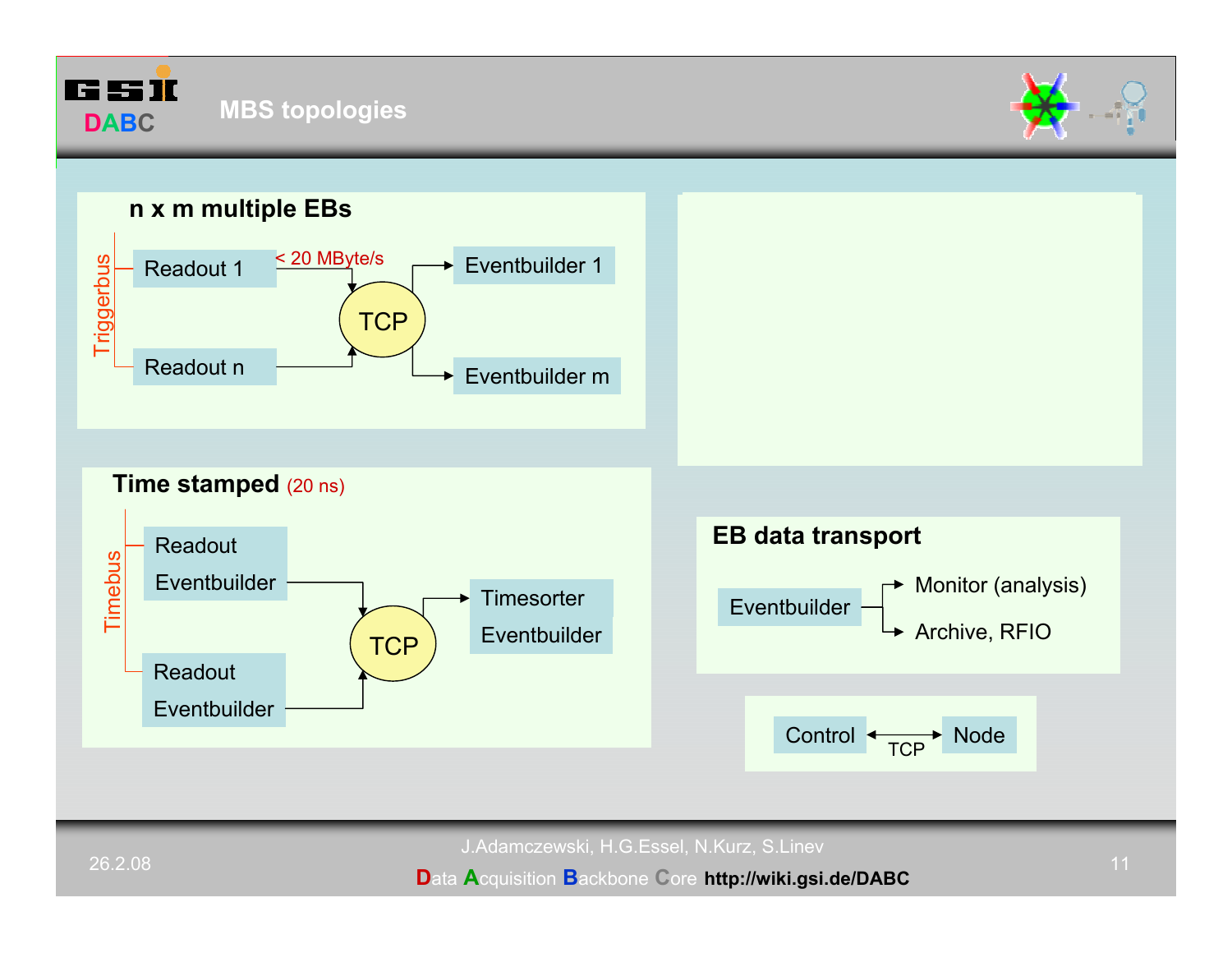



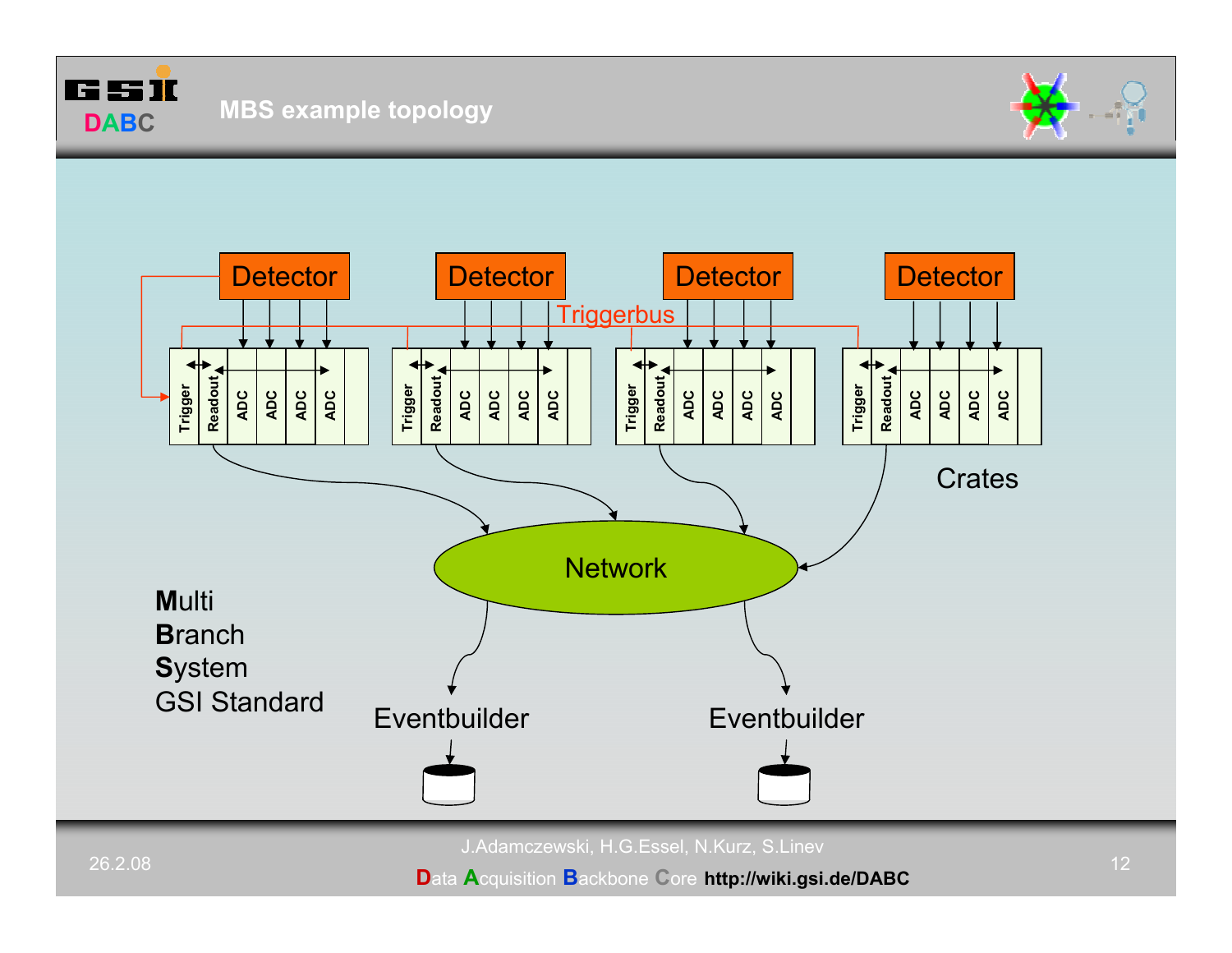

# **MBS example topology**





J.Adamczewski, H.G.Essel, N.Kurz, S.Linev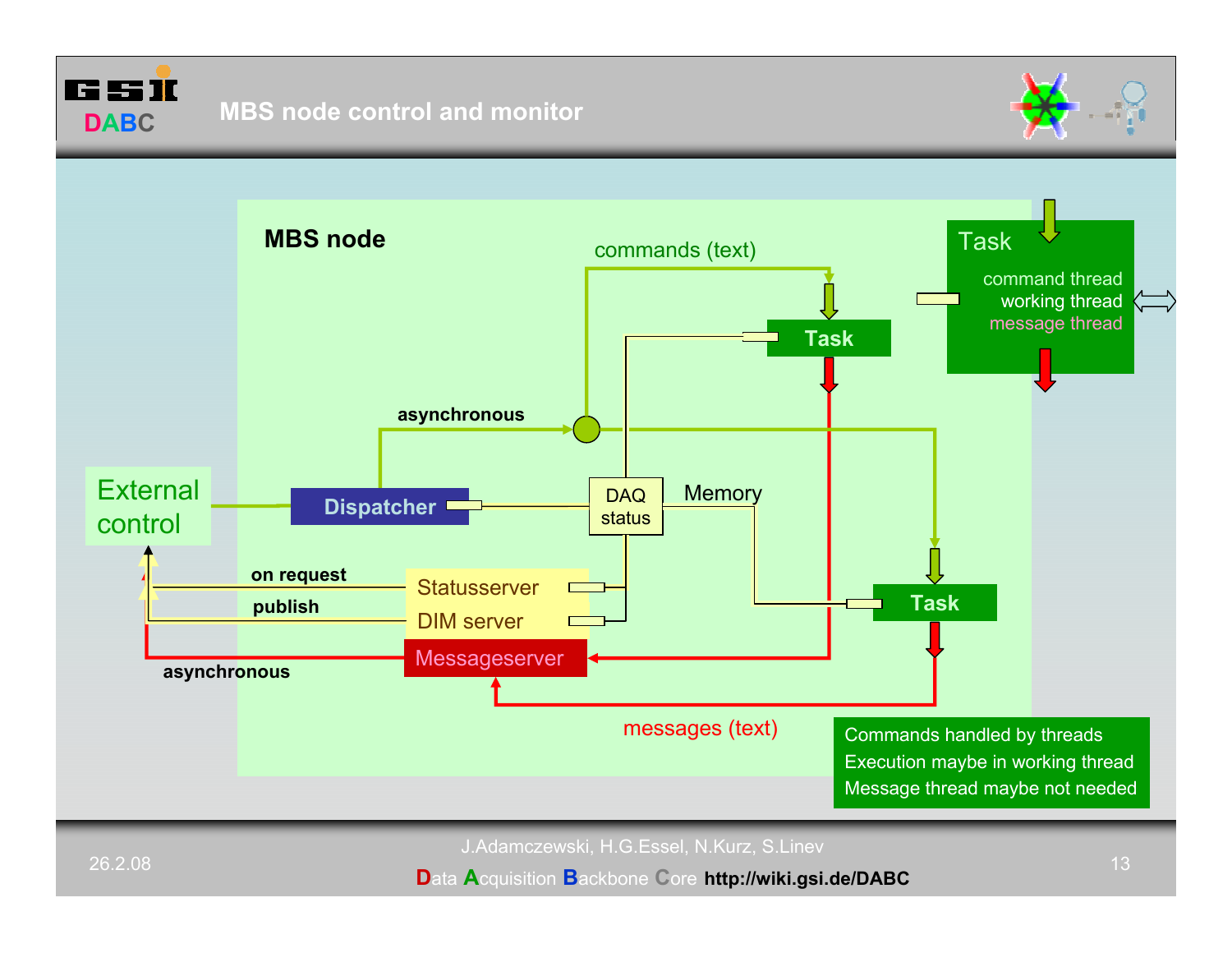



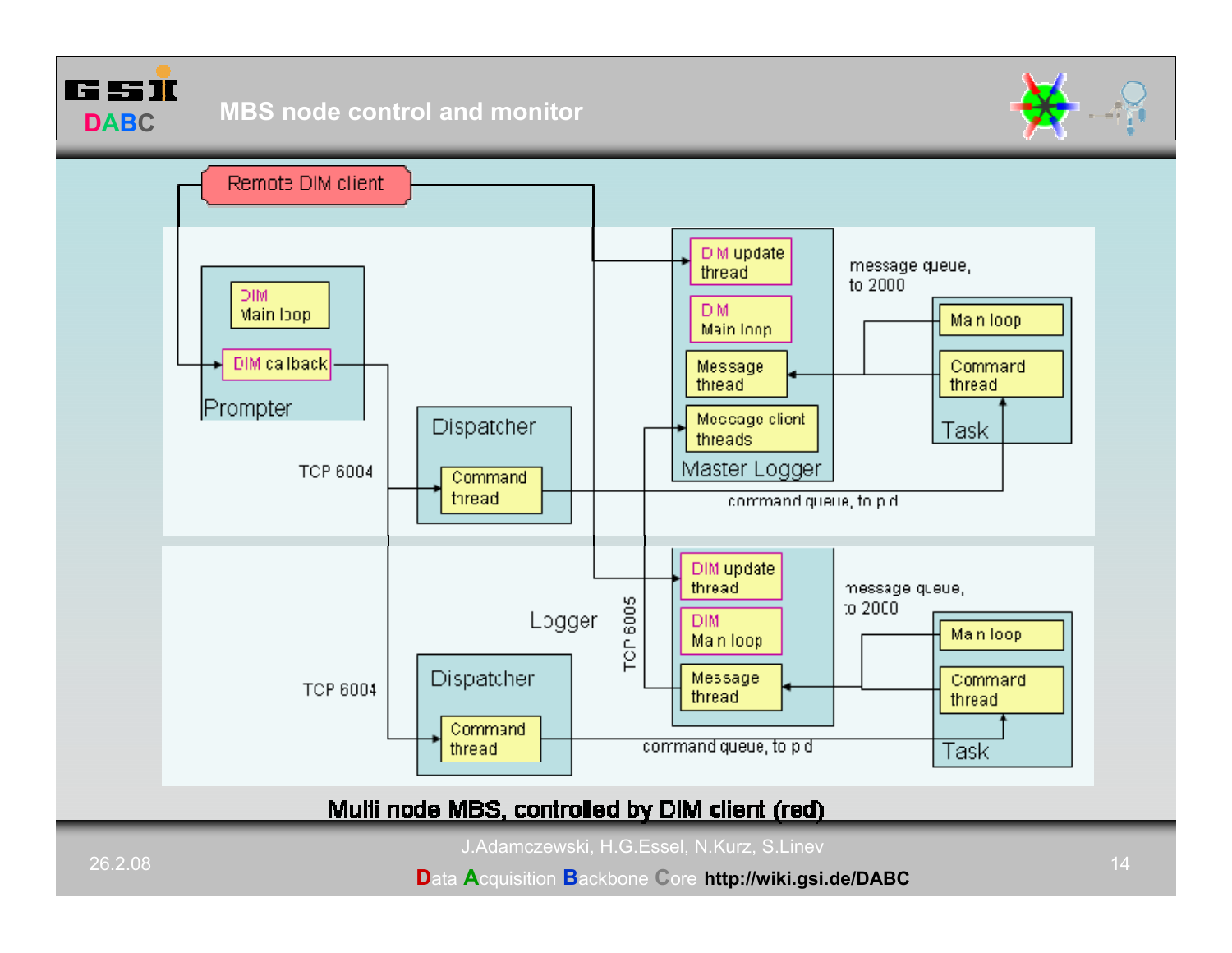





# Mulli node MBS, controlled by DIM client (red)

J.Adamczewski, H.G.Essel, N.Kurz, S.Linev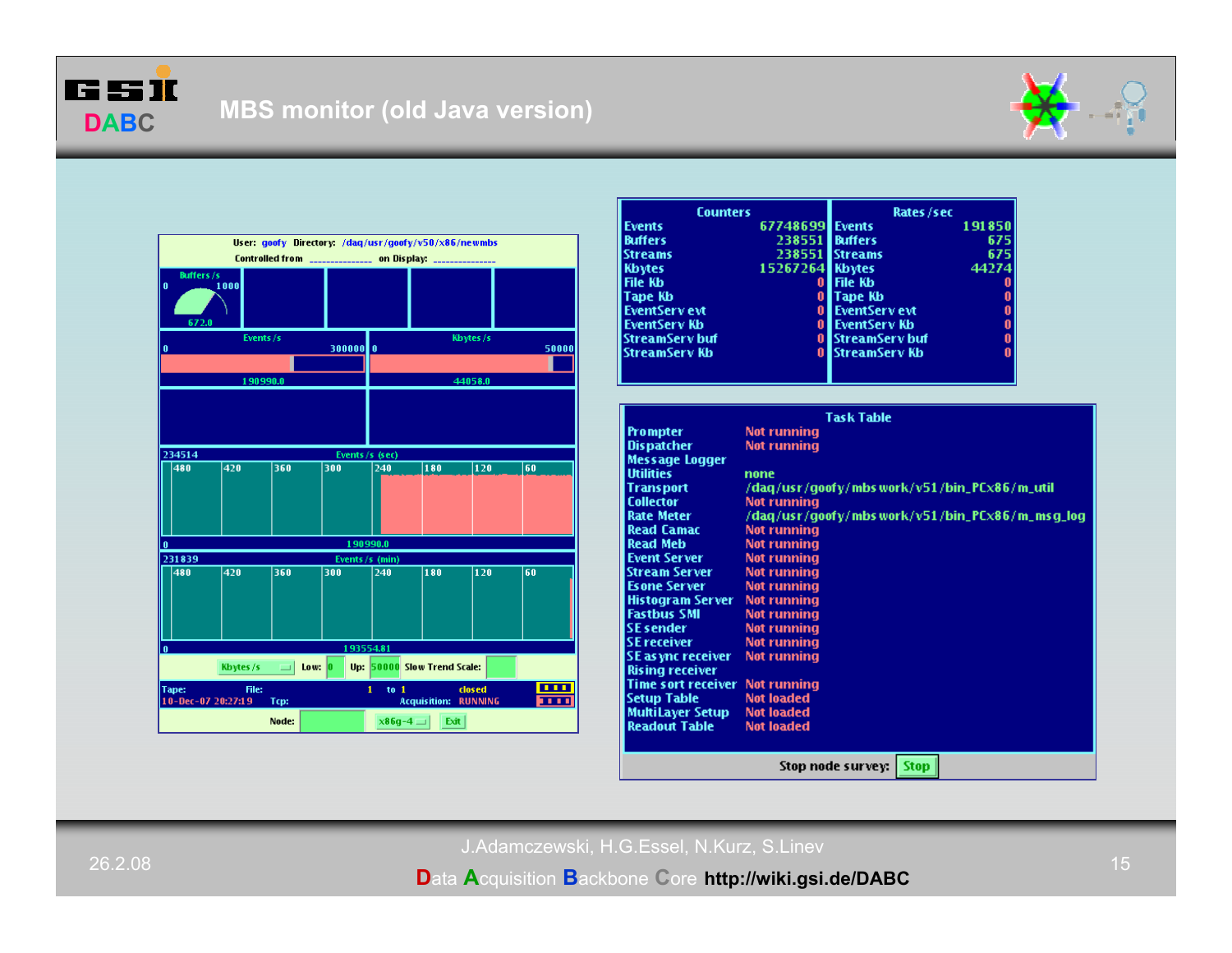





| <b>Counters</b>  |                 | Rates /sec           |        |
|------------------|-----------------|----------------------|--------|
| Events           | 67748699 Events |                      | 191850 |
| Buffers          | 2385511         | <b>Buffers</b>       | 675    |
| <b>Streams</b>   | 2385511         | <b>Streams</b>       | 675    |
| Kbytes           | 15267264        | <b>Kbytes</b>        | 44274  |
| File Kb          | 0               | File Kb              | 0      |
| Tape Kb          | 0               | Tape Kb              | 0      |
| l EventSer v evt | $\bf{0}$        | <b>EventServ</b> evt | 0      |
| l EventServ Kb   |                 | 0 EventServ Kb       | Ō      |
| StreamServ buf   |                 | 0 StreamServ buf     | 0      |
| StreamServ Kb    |                 | 0 StreamServ Kb      | 0      |
|                  |                 |                      |        |
|                  |                 |                      |        |
|                  |                 |                      |        |
|                  |                 | Tack Tahle           |        |

| Task Table                |                                                 |  |  |
|---------------------------|-------------------------------------------------|--|--|
| <b>Prompter</b>           | <b>Not running</b>                              |  |  |
| <b>Dispatcher</b>         | Not running                                     |  |  |
| <b>Message Logger</b>     |                                                 |  |  |
| <b>Utilities</b>          | none                                            |  |  |
| <b>Transport</b>          | /daq/usr/qoofy/mbs work/v51/bin_PCx86/m_util    |  |  |
| <b>Collector</b>          | Not running                                     |  |  |
| <b>Rate Meter</b>         | /dag/usr/goofy/mbs work/v51/bin_PCx86/m_msg_log |  |  |
| <b>Read Camac</b>         | Not running                                     |  |  |
| <b>Read Meb</b>           | <b>Not running</b>                              |  |  |
| <b>Event Server</b>       | <b>Not running</b>                              |  |  |
| <b>Stream Server</b>      | Not running                                     |  |  |
| <b>Esone Server</b>       | <b>Not running</b>                              |  |  |
| <b>Histogram Server</b>   | <b>Not running</b>                              |  |  |
| <b>Fastbus SMI</b>        | <b>Not running</b>                              |  |  |
| <b>SE sender</b>          | <b>Not running</b>                              |  |  |
| <b>SE receiver</b>        | <b>Not running</b>                              |  |  |
| <b>SE</b> as ync receiver | <b>Not running</b>                              |  |  |
| <b>Rising receiver</b>    |                                                 |  |  |
| <b>Time sort receiver</b> | <b>Not running</b>                              |  |  |
| <b>Setup Table</b>        | <b>Not loaded</b>                               |  |  |
| MultiLayer Setup          | <b>Not loaded</b>                               |  |  |
| <b>Readout Table</b>      | <b>Not loaded</b>                               |  |  |
|                           |                                                 |  |  |
|                           | <b>Stop</b><br>Stop node survey:                |  |  |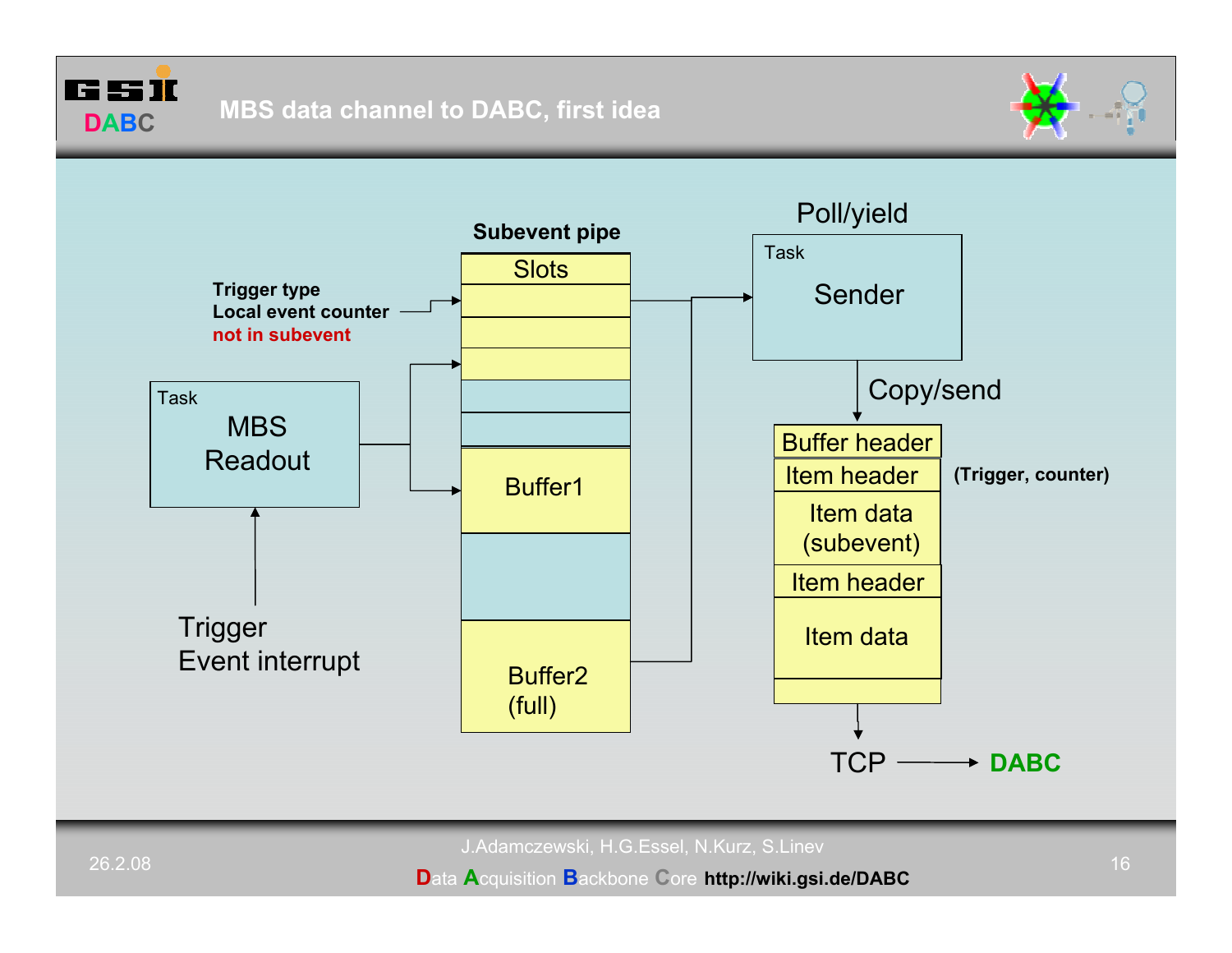



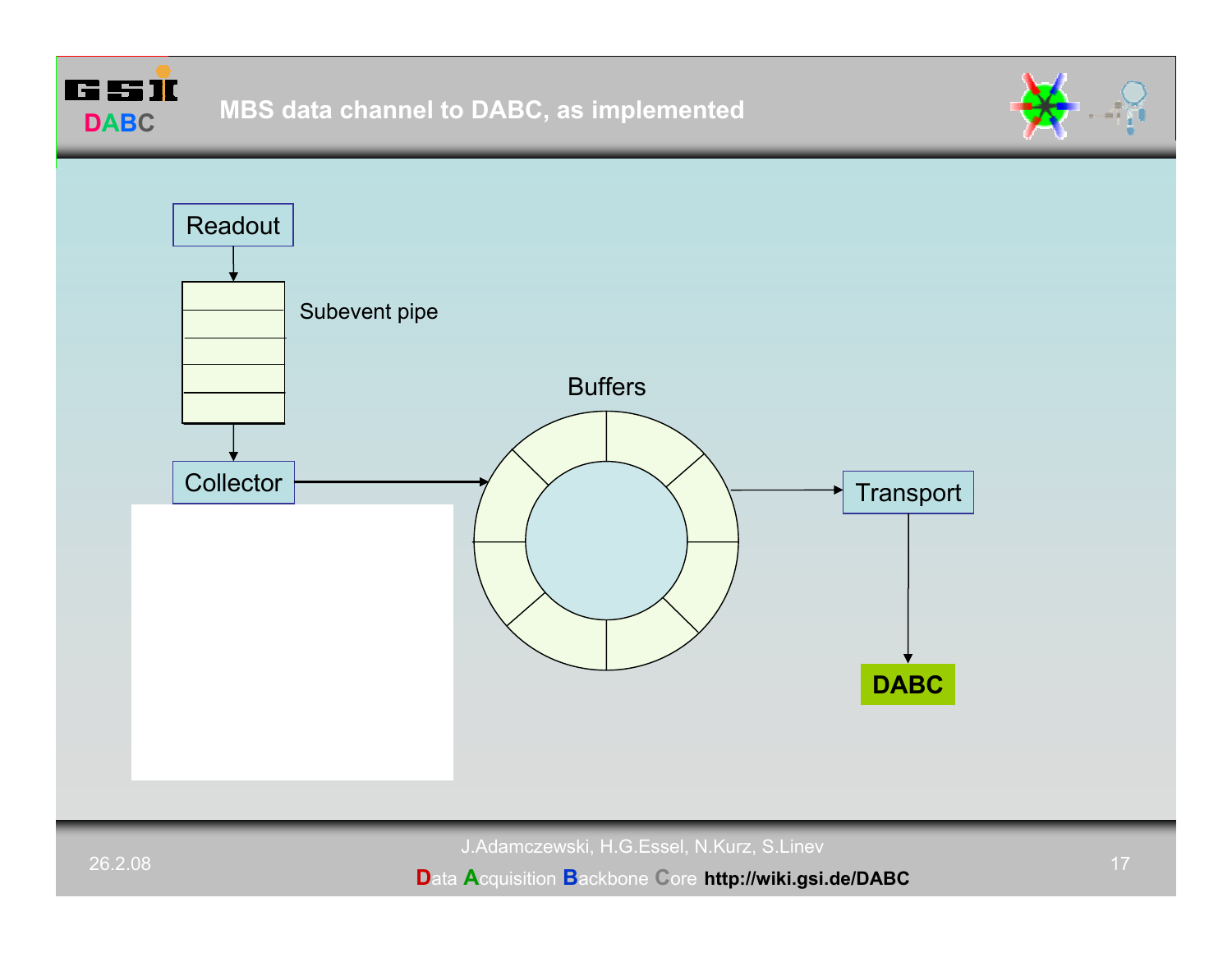



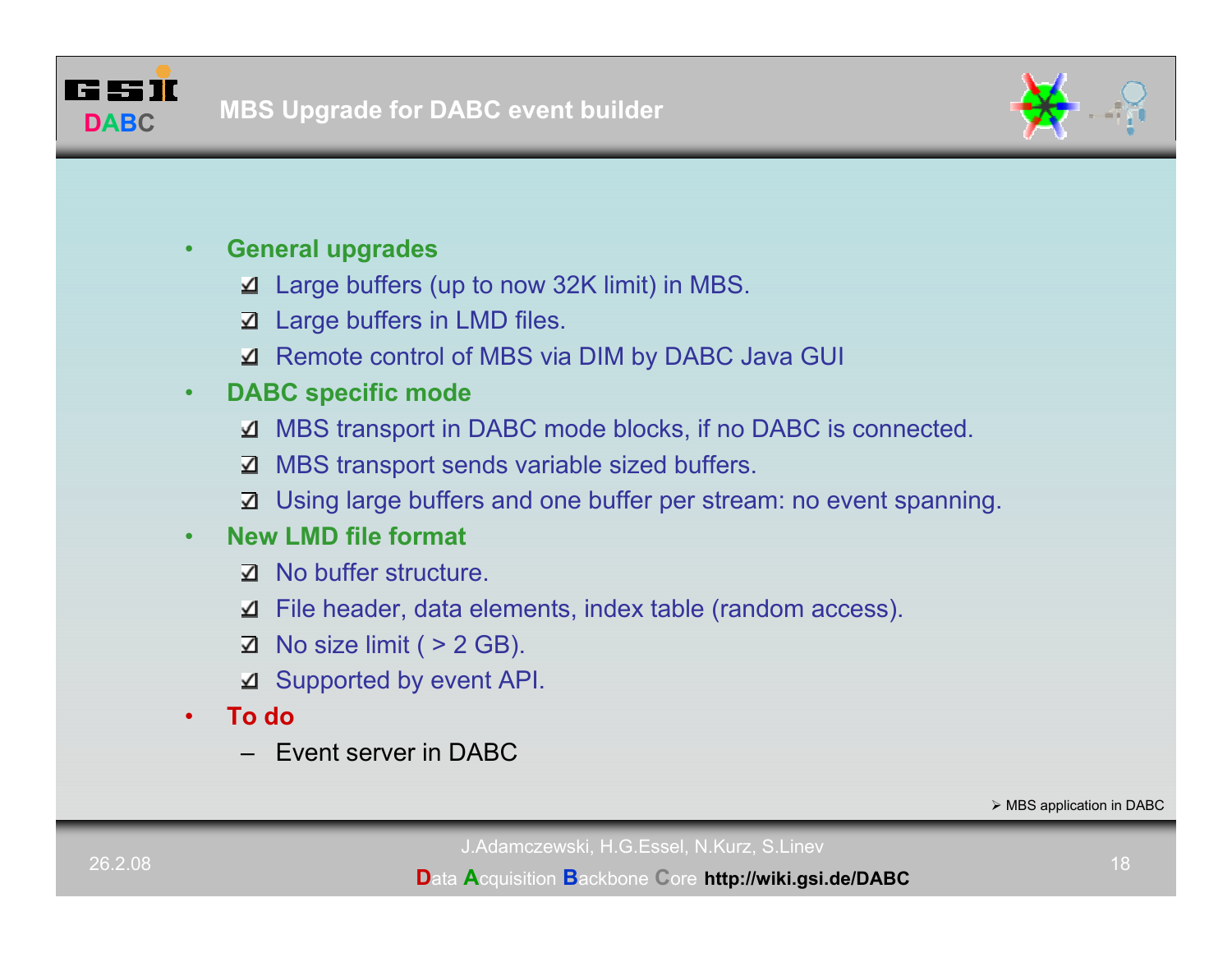



#### •**General upgrades**

- Large buffers (up to now 32K limit) in MBS.
- $\Delta$  Large buffers in LMD files.
- Remote control of MBS via DIM by DABC Java GUI

#### •**DABC specific mode**

- MBS transport in DABC mode blocks, if no DABC is connected.
- MBS transport sends variable sized buffers. ॼ
- Using large buffers and one buffer per stream: no event spanning.

#### •**New LMD file format**

- **Z** No buffer structure.
- File header, data elements, index table (random access).
- ॼ No size limit ( > 2 GB).
- $\Delta$  Supported by event API.
- • **To do**
	- Event server in DABC

¾ MBS application in DABC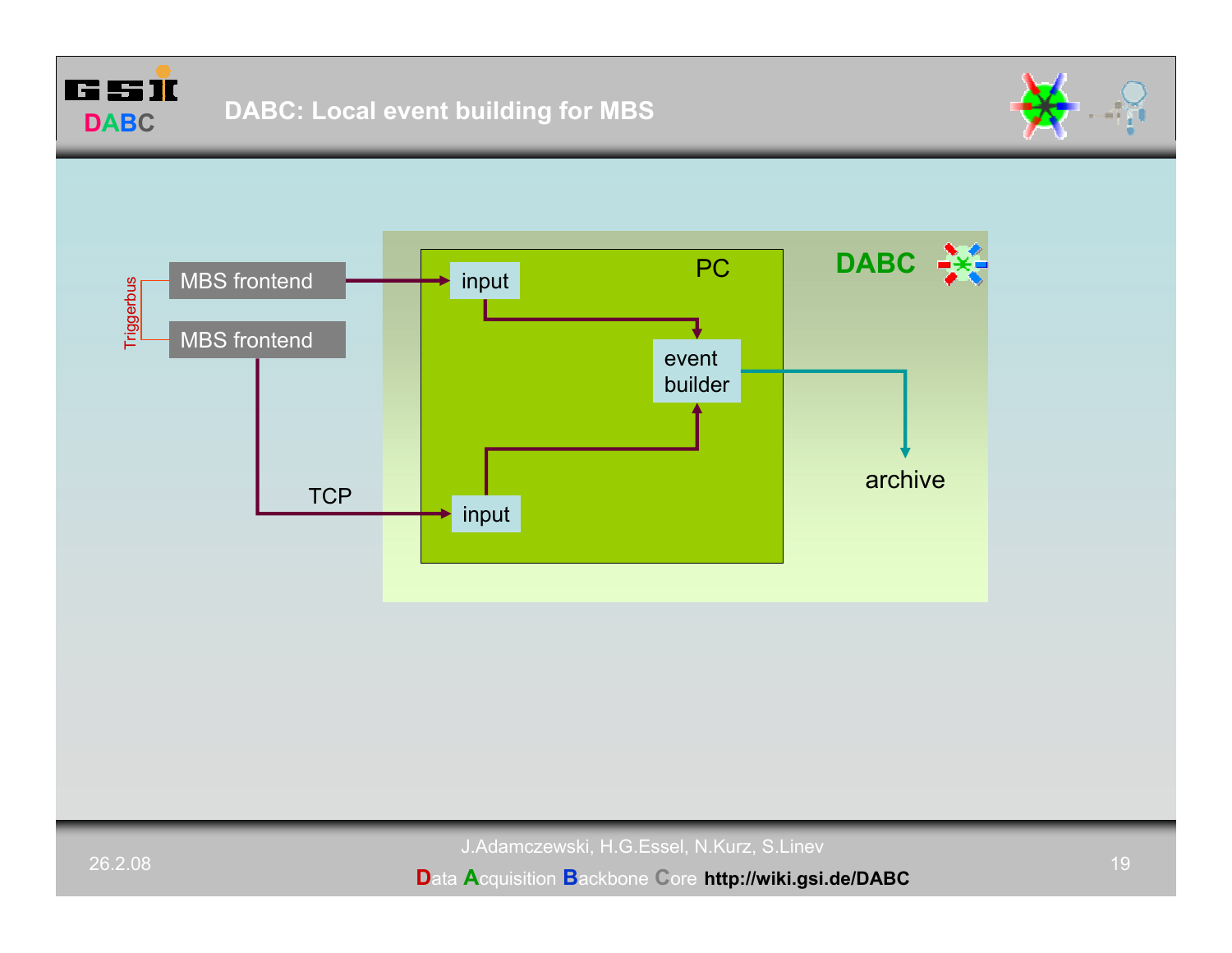



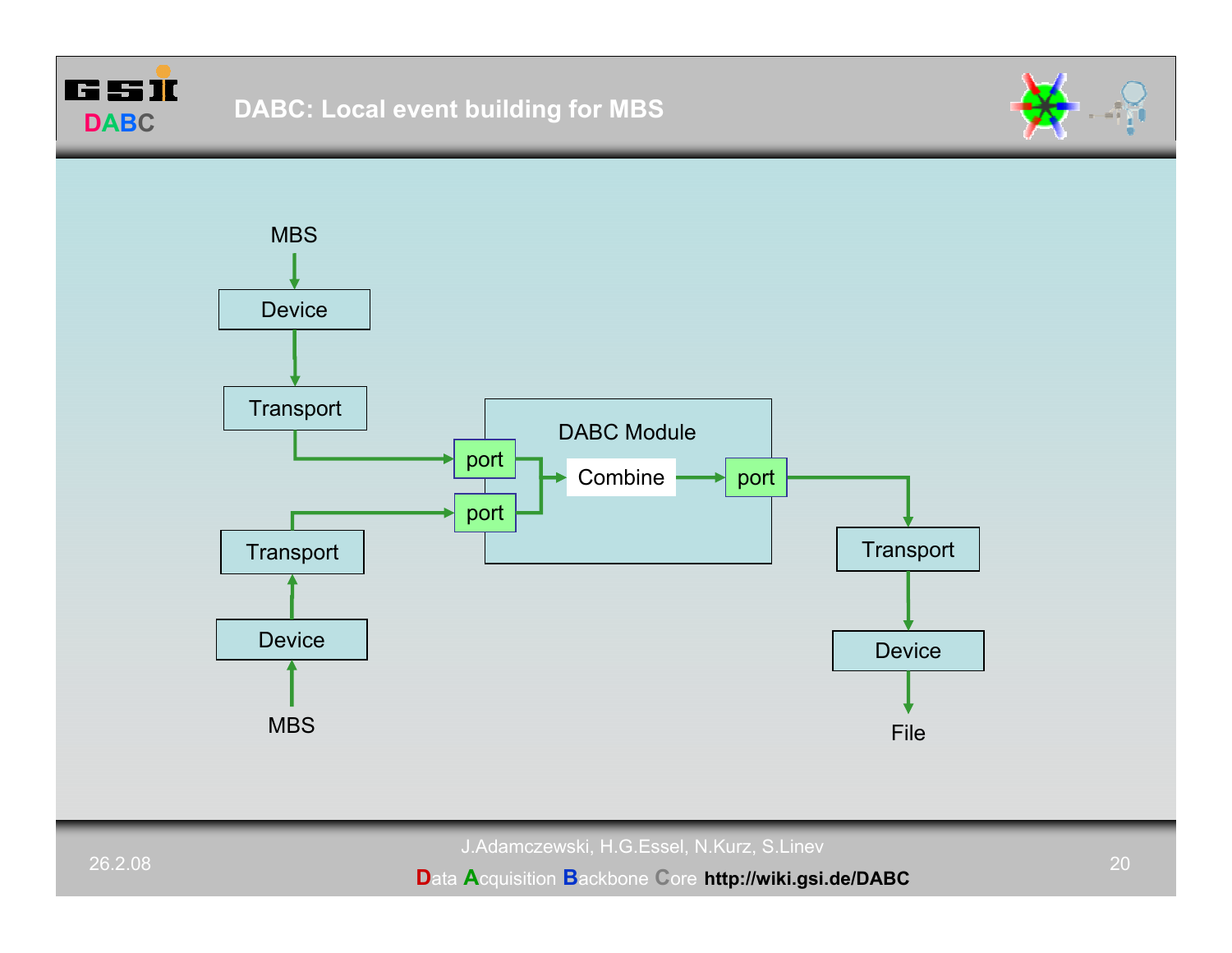



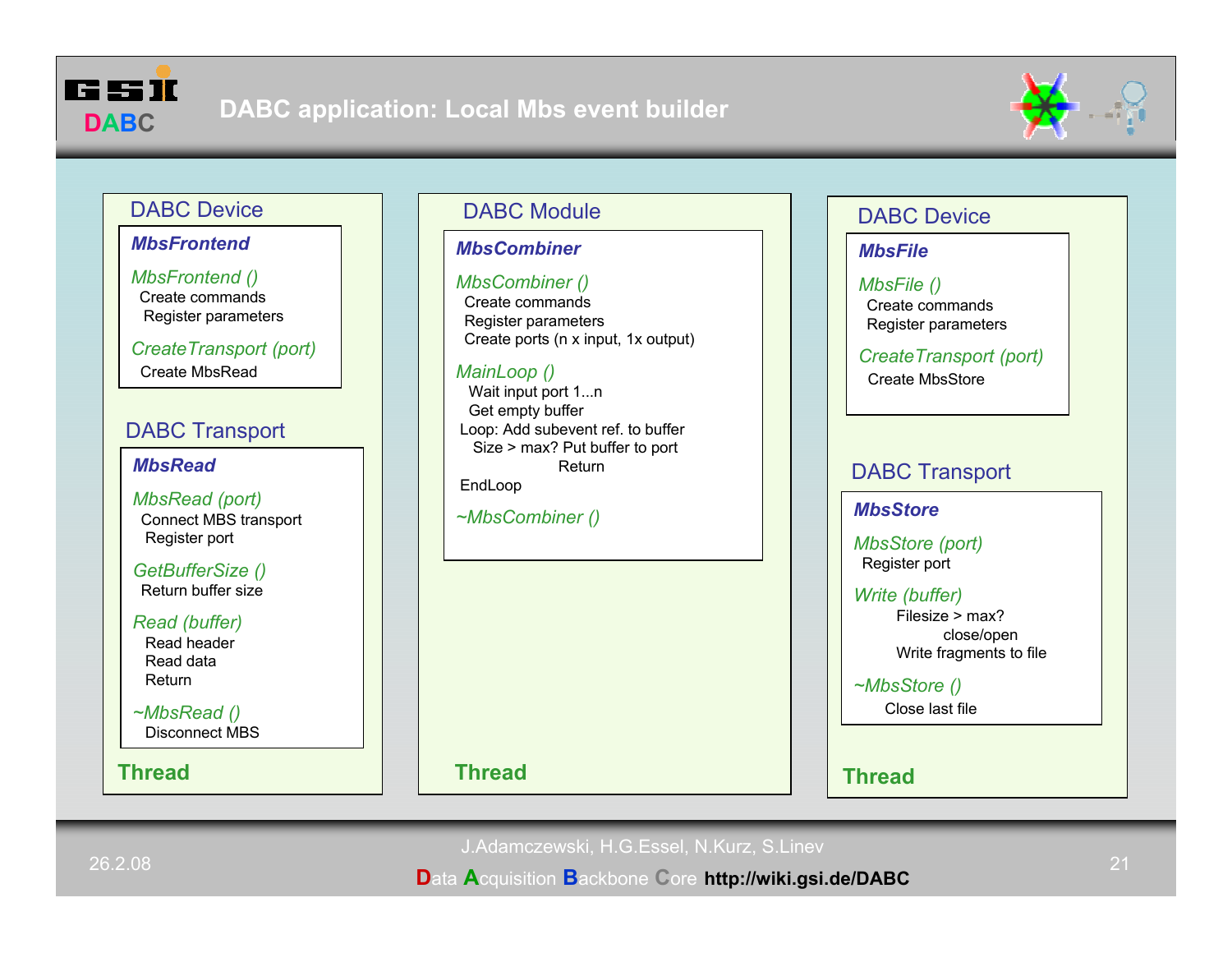



## DABC Device

### *MbsFrontend*

*MbsFrontend ()* Create commandsRegister parameters

*CreateTransport (port)* Create MbsRead

# DABC Transport

*MbsRead*

*MbsRead (port)* Connect MBS transport Register port

*GetBufferSize ()* Return buffer size

#### *Read (buffer)*

Read headerRead dataReturn

*~MbsRead ()* Disconnect MBS

**Thread**

# DABC Module

### *MbsCombiner*

#### *MbsCombiner ()*

Create commandsRegister parameters Create ports (n x input, 1x output)

## *MainLoop ()*

Wait input port 1...n Get empty buffer Loop: Add subevent ref. to buffer Size > max? Put buffer to port ReturnEndLoop

# *~MbsCombiner () MbsStore*

**Thread Thread**

## DABC Device

### *MbsFile*

#### *MbsFile ()* Create commandsRegister parameters

*CreateTransport (port)* Create MbsStore

# DABC Transport

*MbsStore (port)* Register port

#### *Write (buffer)* Filesize > max?close/open Write fragments to file

*~MbsStore ()*

Close last file

J.Adamczewski, H.G.Essel, N.Kurz, S.Linev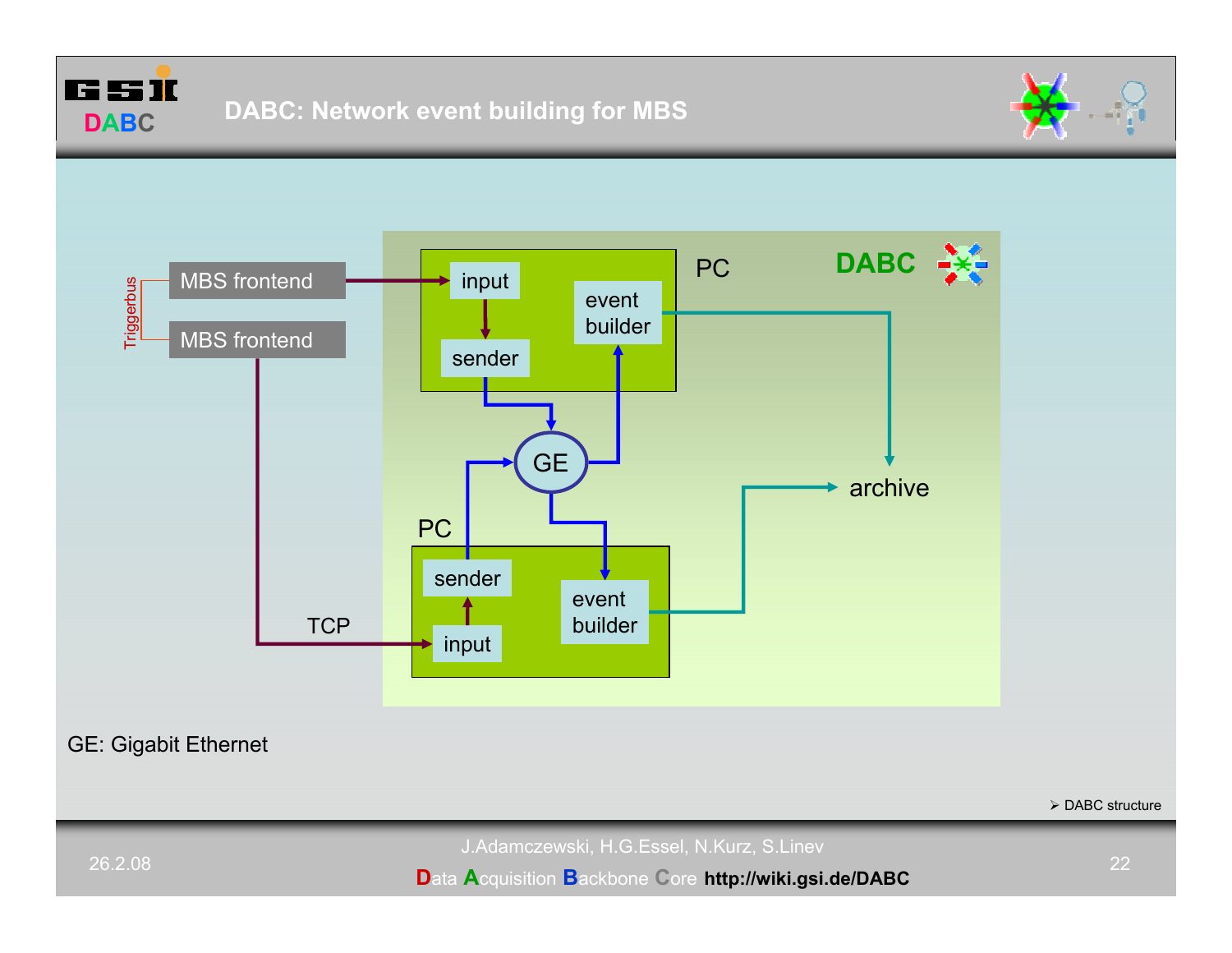





GE: Gigabit Ethernet

 $\triangleright$  DABC structure

J.Adamczewski, H.G.Essel, N.Kurz, S.Linev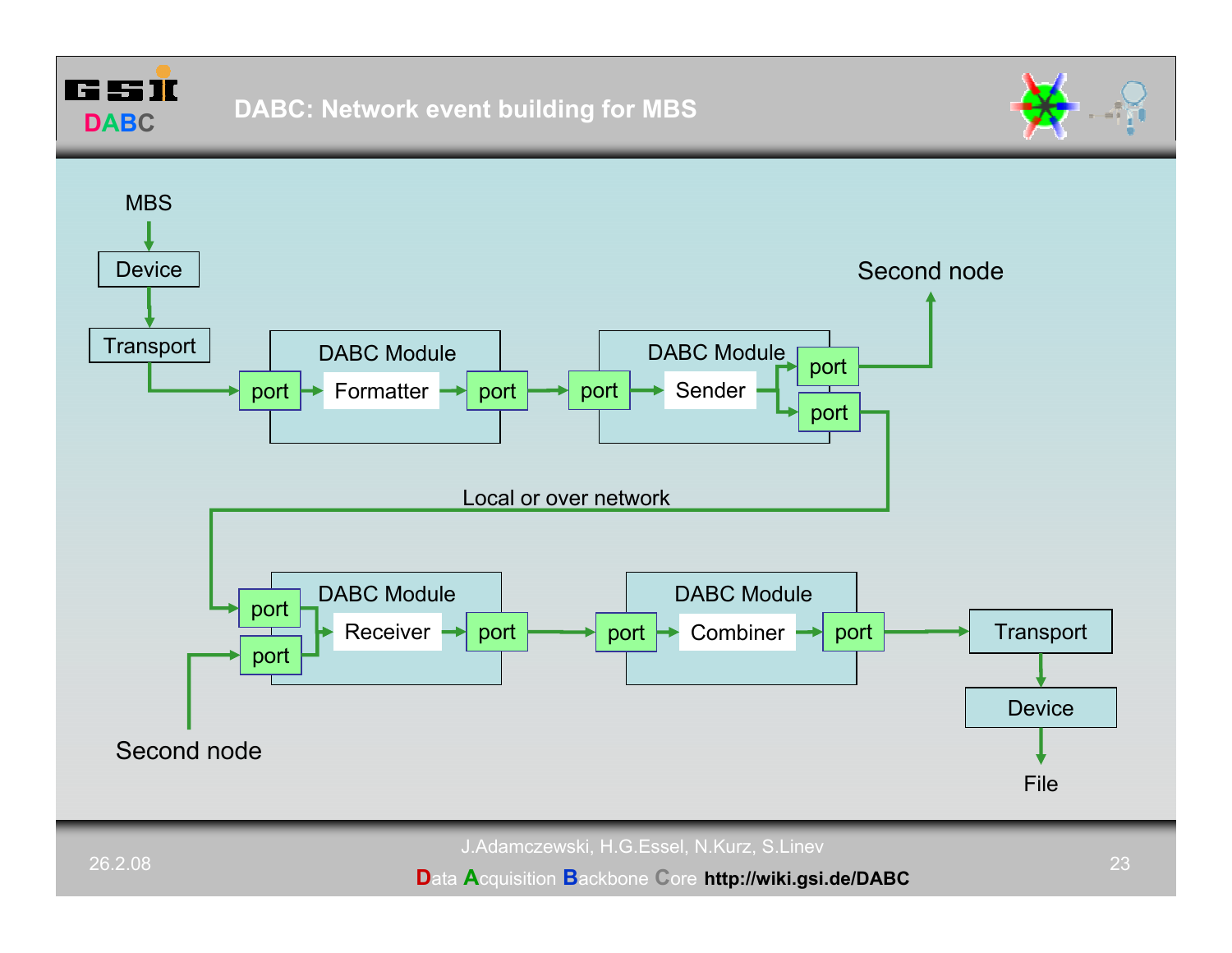**DABC**



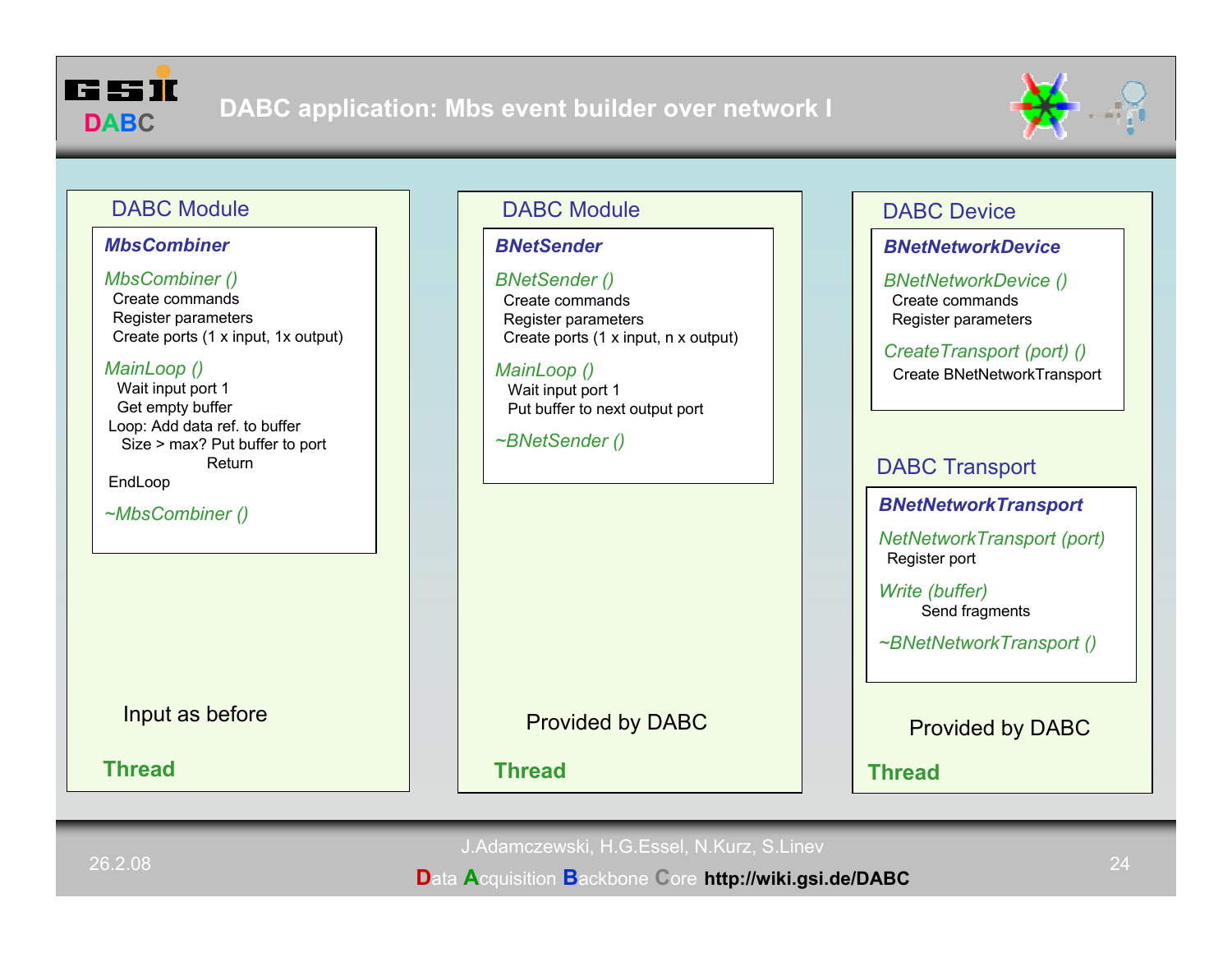



# DABC Module

#### *MbsCombiner*

#### *MbsCombiner ()*

Create commandsRegister parameters Create ports (1 x input, 1x output)

#### *MainLoop ()*

Wait input port 1 Get empty buffer Loop: Add data ref. to buffer Size > max? Put buffer to port Return

EndLoop

**Thread**

# DABC Module

### *BNetSender*

#### *BNetSender ()*

Create commandsRegister parameters Create ports (1 x input, n x output)

## *MainLoop ()*

**Thread**

Wait input port 1 Put buffer to next output port

*~BNetSender ()*

# DABC Device

## *BNetNetworkDevice*

*BNetNetworkDevice ()* Create commandsRegister parameters

# *CreateTransport (port) ()*

Create BNetNetworkTransport

# DABC Transport

# *~MbsCombiner () BNetNetworkTransport*

*NetNetworkTransport (port)* Register port

*Write (buffer)* Send fragments

*~BNetNetworkTransport ()*

Input as before **Provided by DABC** Provided by DABC Provided by DABC

d Thread <mark>Thread</mark>

J.Adamczewski, H.G.Essel, N.Kurz, S.Linev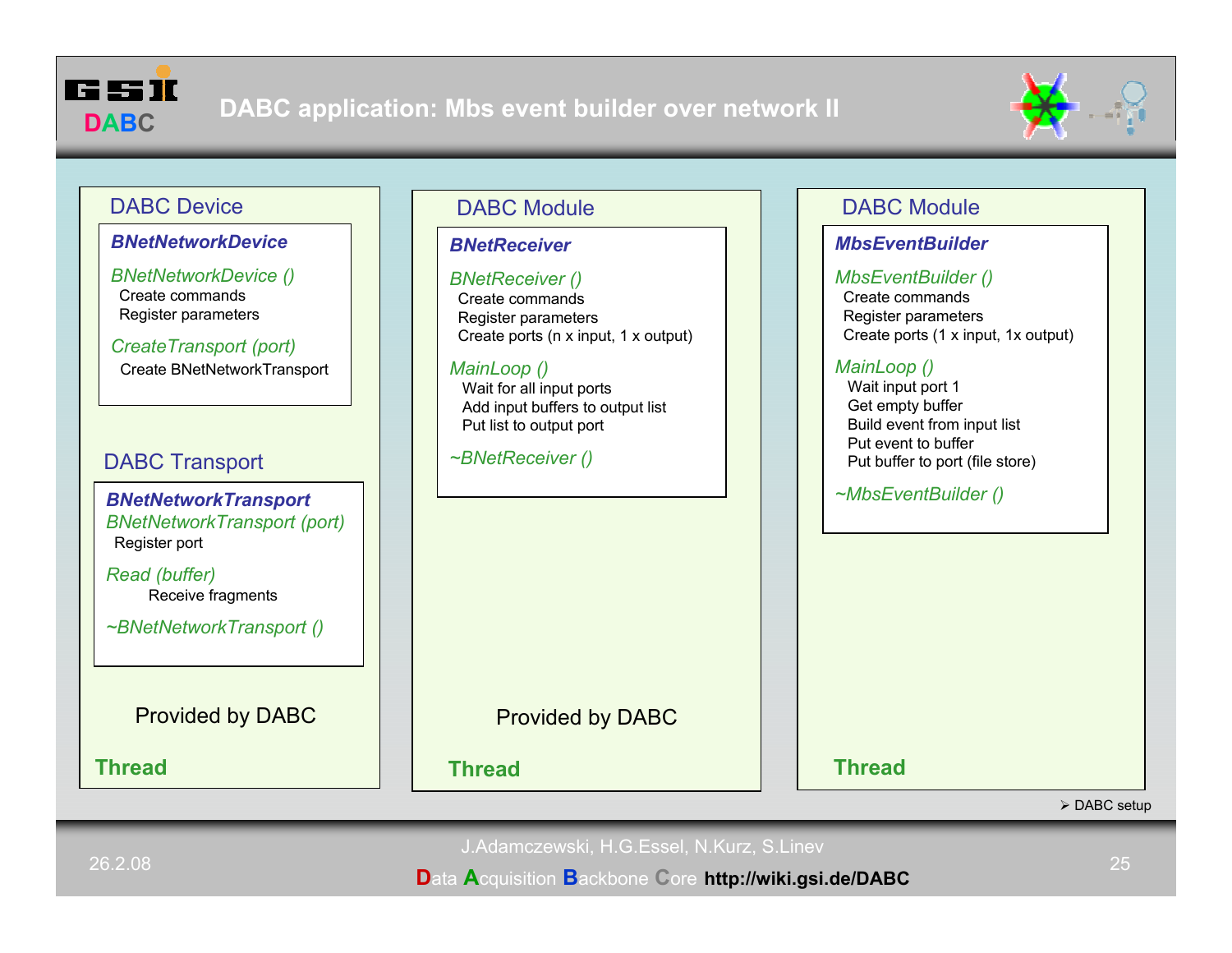



# DABC Device

#### *BNetNetworkDevice*

*BNetNetworkDevice ()* Create commandsRegister parameters

*CreateTransport (port)* Create BNetNetworkTransport

# DABC Transport

*BNetNetworkTransport BNetNetworkTransport (port)* Register port

*Read (buffer)* Receive fragments

*~BNetNetworkTransport ()*

**Thread**

# DABC Module

#### *BNetReceiver*

#### *BNetReceiver ()*

Create commandsRegister parameters Create ports (n x input, 1 x output)

### *MainLoop ()*

Wait for all input ports Add input buffers to output list Put list to output port

*~BNetReceiver ()*

# DABC Module

## *MbsEventBuilder*

#### *MbsEventBuilder ()*

Create commandsRegister parameters Create ports (1 x input, 1x output)

### *MainLoop ()*

Wait input port 1 Get empty buffer Build event from input list Put event to bufferPut buffer to port (file store)

*~MbsEventBuilder ()*

Provided by DABC Provided by DABC

**Thread**

**Thread**

 $\triangleright$  DABC setup

J.Adamczewski, H.G.Essel, N.Kurz, S.Linev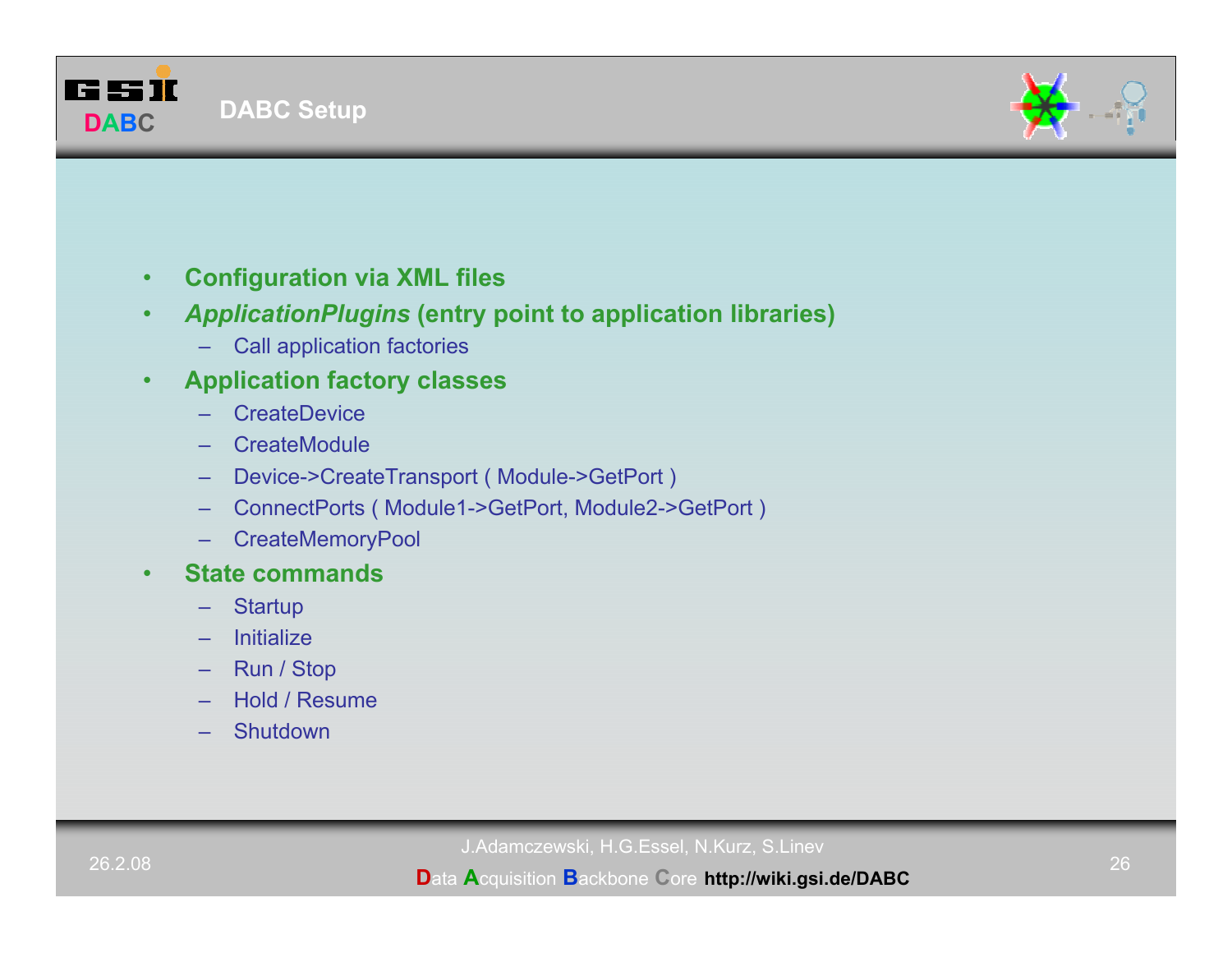



- •**Configuration via XML files**
- • *ApplicationPlugins* **(entry point to application libraries)**
	- –Call application factories
- • **Application factory classes**
	- **CreateDevice**
	- **CreateModule**
	- –Device->CreateTransport ( Module->GetPort )
	- –ConnectPorts ( Module1->GetPort, Module2->GetPort )
	- **CreateMemoryPool**
- • **State commands**
	- **Startup**
	- Initialize
	- –Run / Stop
	- Hold / Resume
	- Shutdown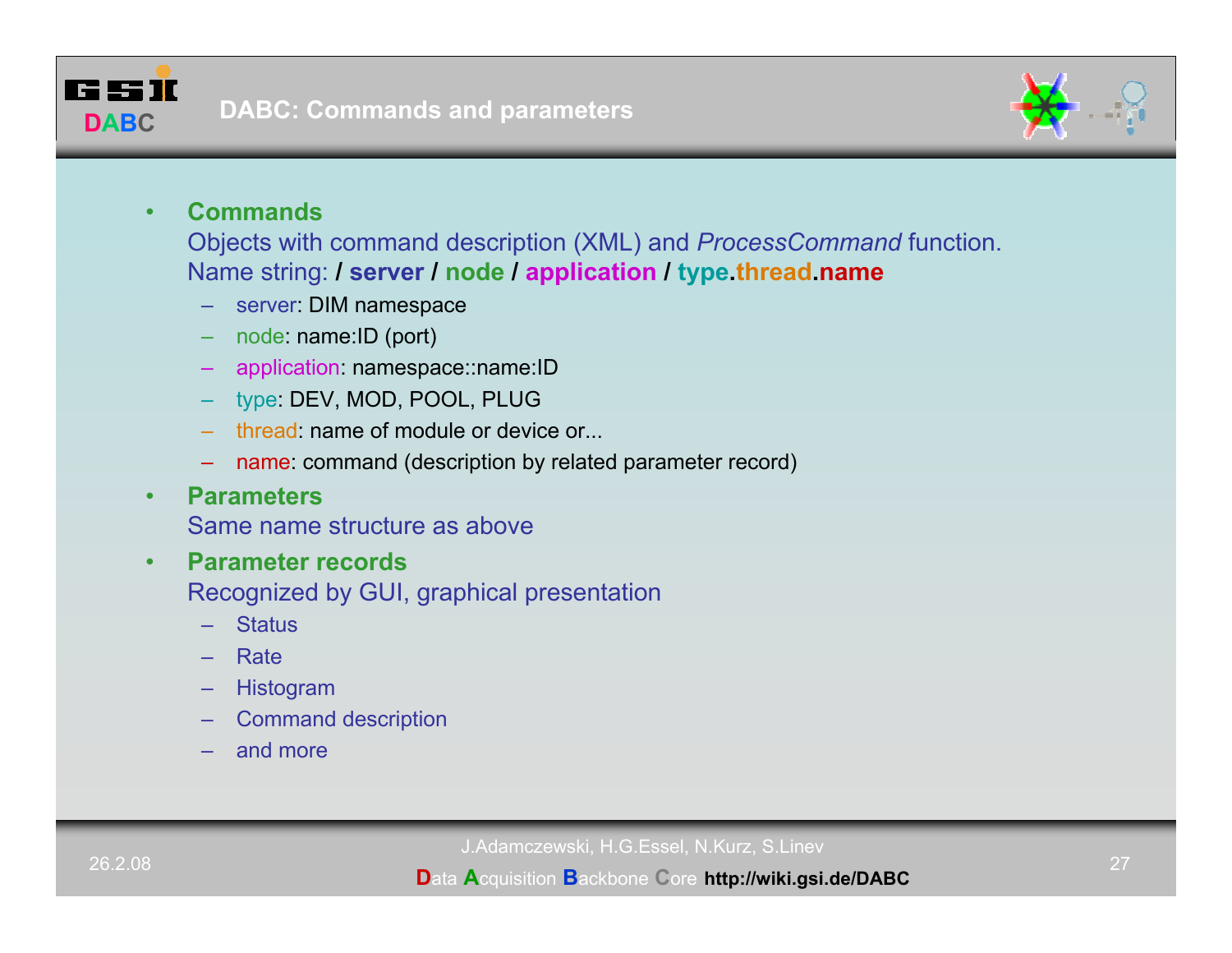



#### •**Commands**

Objects with command description (XML) and *ProcessCommand* function. Name string: **/ server / node / application / type.thread.name**

- server: DIM namespace
- node: name:ID (port)
- application: namespace::name:ID
- type: DEV, MOD, POOL, PLUG
- thread: name of module or device or...
- name: command (description by related parameter record)
- •**Parameters**

Same name structure as above

- • **Parameter records**Recognized by GUI, graphical presentation
	- **Status**
	- **Rate**
	- Histogram
	- Command description
	- and more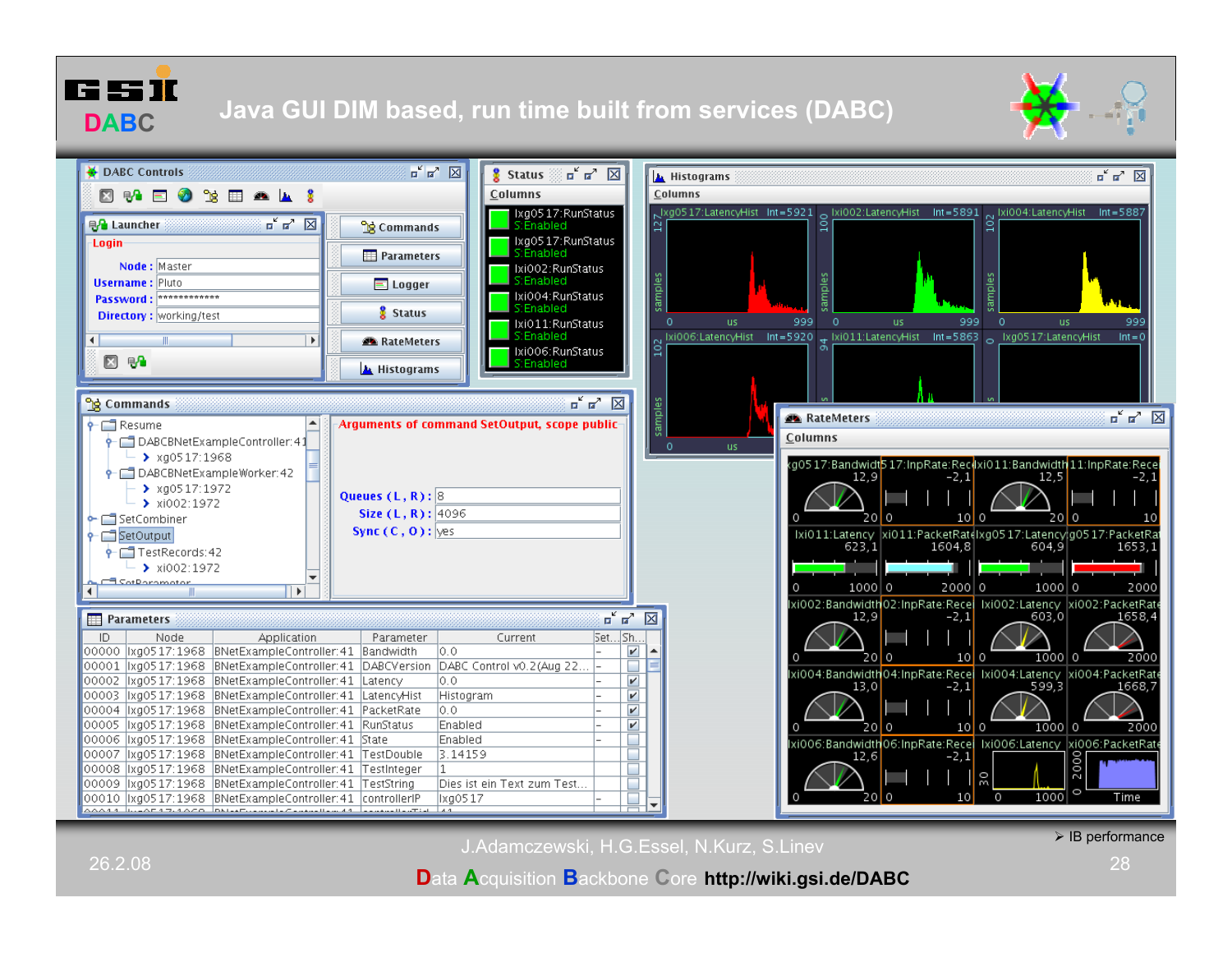



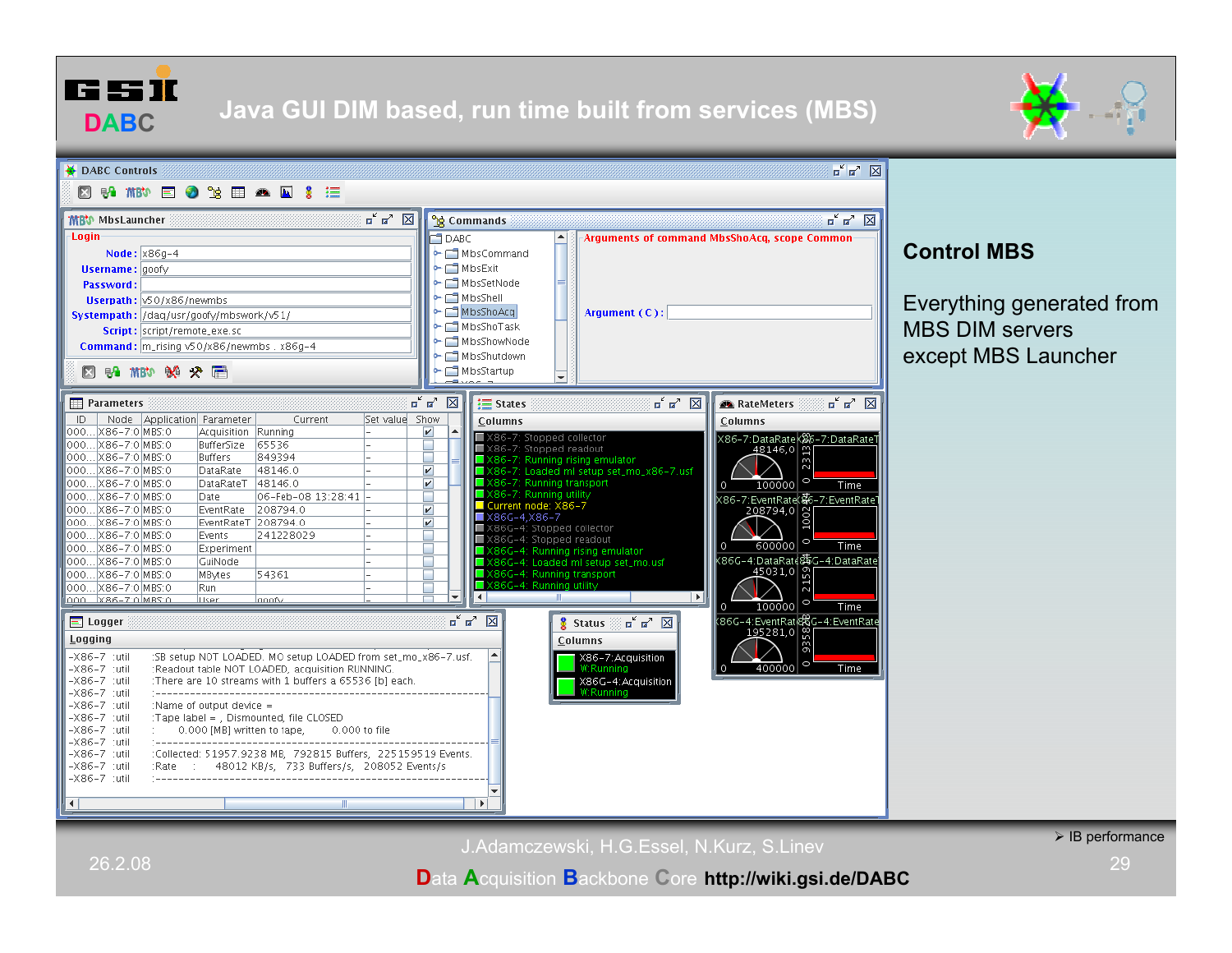





# **Control MBS**

Everything generated from MBS DIM serversexcept MBS Launcher

J.Adamczewski, H.G.Essel, N.Kurz, S.Linev

# **D**ata **A**cquisition **B**ackbone **C**ore **http://wiki.gsi.de/DABC**

 $\triangleright$  IB performance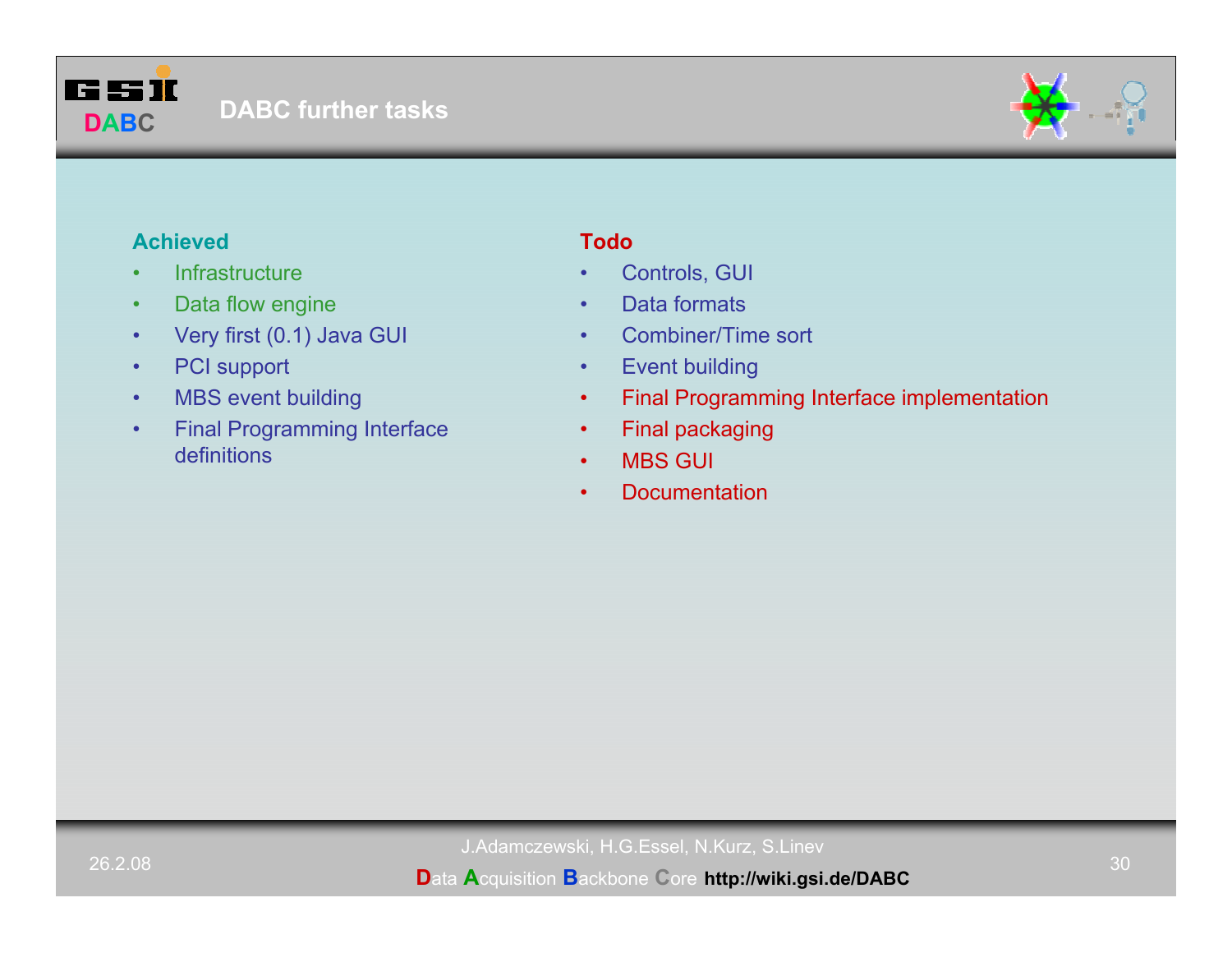



# **Achieved**

- •**Infrastructure**
- •Data flow engine
- •Very first (0.1) Java GUI
- •PCI support
- •MBS event building
- • Final Programming Interface definitions

# **Todo**

- •Controls, GUI
- •Data formats
- •Combiner/Time sort
- •Event building
- •Final Programming Interface implementation
- •Final packaging
- •MBS GUI
- •Documentation